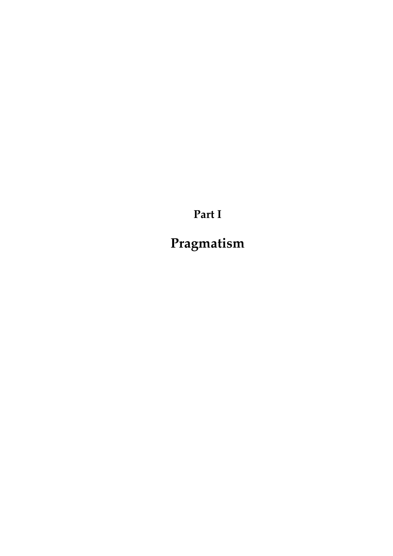**Part I**

**Pragmatism**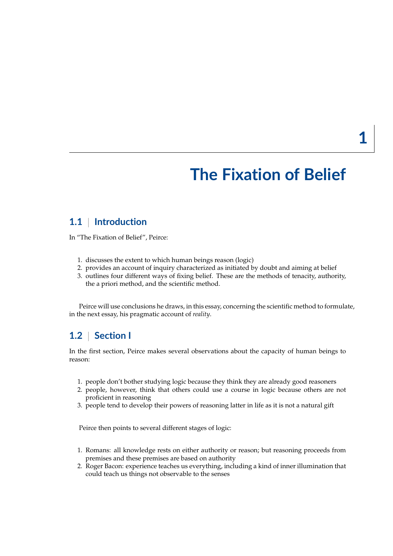# **The Fixation of Belief**

# **1.1** | **Introduction**

In "The Fixation of Belief", Peirce:

- 1. discusses the extent to which human beings reason (logic)
- 2. provides an account of inquiry characterized as initiated by doubt and aiming at belief
- 3. outlines four different ways of fixing belief. These are the methods of tenacity, authority, the a priori method, and the scientific method.

Peirce will use conclusions he draws, in this essay, concerning the scientific method to formulate, in the next essay, his pragmatic account of *reality*.

# **1.2** | **Section I**

In the first section, Peirce makes several observations about the capacity of human beings to reason:

- 1. people don't bother studying logic because they think they are already good reasoners
- 2. people, however, think that others could use a course in logic because others are not proficient in reasoning
- 3. people tend to develop their powers of reasoning latter in life as it is not a natural gift

Peirce then points to several different stages of logic:

- 1. Romans: all knowledge rests on either authority or reason; but reasoning proceeds from premises and these premises are based on authority
- 2. Roger Bacon: experience teaches us everything, including a kind of inner illumination that could teach us things not observable to the senses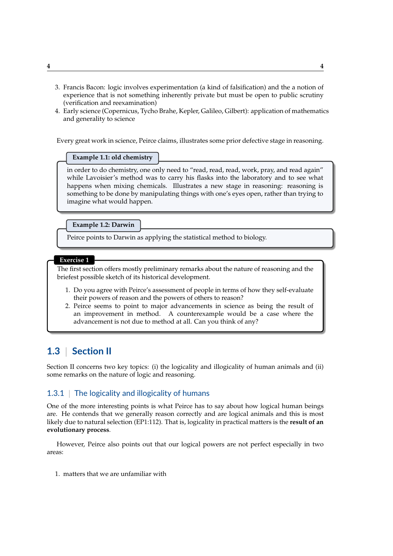- 3. Francis Bacon: logic involves experimentation (a kind of falsification) and the a notion of experience that is not something inherently private but must be open to public scrutiny (verification and reexamination)
- 4. Early science (Copernicus, Tycho Brahe, Kepler, Galileo, Gilbert): application of mathematics and generality to science

Every great work in science, Peirce claims, illustrates some prior defective stage in reasoning.

## **Example 1.1: old chemistry**

in order to do chemistry, one only need to "read, read, read, work, pray, and read again" while Lavoisier's method was to carry his flasks into the laboratory and to see what happens when mixing chemicals. Illustrates a new stage in reasoning: reasoning is something to be done by manipulating things with one's eyes open, rather than trying to imagine what would happen.

#### **Example 1.2: Darwin**

Peirce points to Darwin as applying the statistical method to biology.

#### **Exercise 1**

The first section offers mostly preliminary remarks about the nature of reasoning and the briefest possible sketch of its historical development.

- 1. Do you agree with Peirce's assessment of people in terms of how they self-evaluate their powers of reason and the powers of others to reason?
- 2. Peirce seems to point to major advancements in science as being the result of an improvement in method. A counterexample would be a case where the advancement is not due to method at all. Can you think of any?

# **1.3** | **Section II**

Section II concerns two key topics: (i) the logicality and illogicality of human animals and (ii) some remarks on the nature of logic and reasoning.

## 1.3.1 | The logicality and illogicality of humans

One of the more interesting points is what Peirce has to say about how logical human beings are. He contends that we generally reason correctly and are logical animals and this is most likely due to natural selection (EP1:112). That is, logicality in practical matters is the **result of an evolutionary process**.

However, Peirce also points out that our logical powers are not perfect especially in two areas:

1. matters that we are unfamiliar with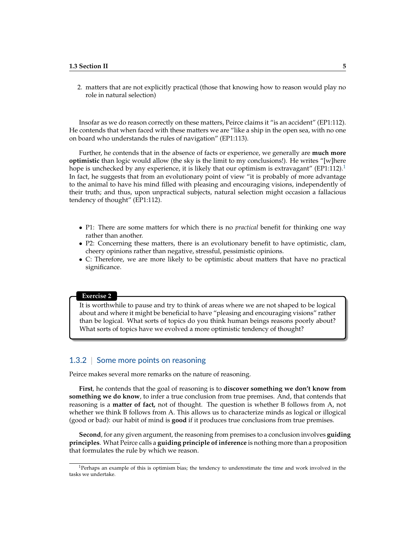2. matters that are not explicitly practical (those that knowing how to reason would play no role in natural selection)

Insofar as we do reason correctly on these matters, Peirce claims it "is an accident" (EP1:112). He contends that when faced with these matters we are "like a ship in the open sea, with no one on board who understands the rules of navigation" (EP1:113).

Further, he contends that in the absence of facts or experience, we generally are **much more optimistic** than logic would allow (the sky is the limit to my conclusions!). He writes "[w]here hope is unchecked by any experience, it is likely that our optimism is extravagant"  $(EP1:112)^{1}$  $(EP1:112)^{1}$  $(EP1:112)^{1}$ In fact, he suggests that from an evolutionary point of view "it is probably of more advantage to the animal to have his mind filled with pleasing and encouraging visions, independently of their truth; and thus, upon unpractical subjects, natural selection might occasion a fallacious tendency of thought" (EP1:112).

- P1: There are some matters for which there is no *practical* benefit for thinking one way rather than another.
- P2: Concerning these matters, there is an evolutionary benefit to have optimistic, clam, cheery opinions rather than negative, stressful, pessimistic opinions.
- C: Therefore, we are more likely to be optimistic about matters that have no practical significance.

#### **Exercise 2**

It is worthwhile to pause and try to think of areas where we are not shaped to be logical about and where it might be beneficial to have "pleasing and encouraging visions" rather than be logical. What sorts of topics do you think human beings reasons poorly about? What sorts of topics have we evolved a more optimistic tendency of thought?

## 1.3.2 | Some more points on reasoning

Peirce makes several more remarks on the nature of reasoning.

**First**, he contends that the goal of reasoning is to **discover something we don't know from something we do know**, to infer a true conclusion from true premises. And, that contends that reasoning is a **matter of fact,** not of thought. The question is whether B follows from A, not whether we think B follows from A. This allows us to characterize minds as logical or illogical (good or bad): our habit of mind is **good** if it produces true conclusions from true premises.

**Second**, for any given argument, the reasoning from premises to a conclusion involves **guiding principles**. What Peirce calls a **guiding principle of inference** is nothing more than a proposition that formulates the rule by which we reason.

<span id="page-4-0"></span><sup>&</sup>lt;sup>1</sup>Perhaps an example of this is optimism bias; the tendency to underestimate the time and work involved in the tasks we undertake.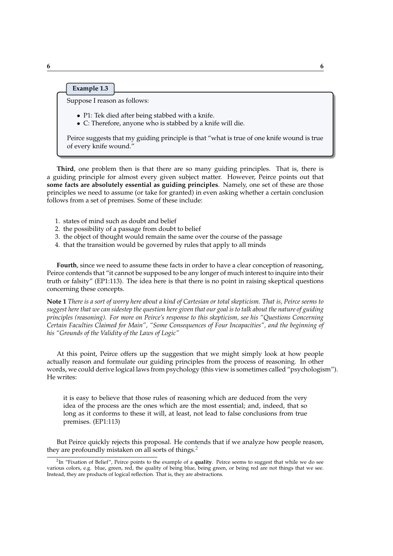## **Example 1.3**

Suppose I reason as follows:

- P1: Tek died after being stabbed with a knife.
- C: Therefore, anyone who is stabbed by a knife will die.

Peirce suggests that my guiding principle is that "what is true of one knife wound is true of every knife wound."

**Third**, one problem then is that there are so many guiding principles. That is, there is a guiding principle for almost every given subject matter. However, Peirce points out that **some facts are absolutely essential as guiding principles**. Namely, one set of these are those principles we need to assume (or take for granted) in even asking whether a certain conclusion follows from a set of premises. Some of these include:

- 1. states of mind such as doubt and belief
- 2. the possibility of a passage from doubt to belief
- 3. the object of thought would remain the same over the course of the passage
- 4. that the transition would be governed by rules that apply to all minds

**Fourth**, since we need to assume these facts in order to have a clear conception of reasoning, Peirce contends that "it cannot be supposed to be any longer of much interest to inquire into their truth or falsity" (EP1:113). The idea here is that there is no point in raising skeptical questions concerning these concepts.

**Note 1** *There is a sort of worry here about a kind of Cartesian or total skepticism. That is, Peirce seems to suggest here that we can sidestep the question here given that our goal is to talk about the nature of guiding principles (reasoning). For more on Peirce's response to this skepticism, see his "Questions Concerning Certain Faculties Claimed for Main", "Some Consequences of Four Incapacities", and the beginning of his "Grounds of the Validity of the Laws of Logic"*

At this point, Peirce offers up the suggestion that we might simply look at how people actually reason and formulate our guiding principles from the process of reasoning. In other words, we could derive logical laws from psychology (this view is sometimes called "psychologism"). He writes:

it is easy to believe that those rules of reasoning which are deduced from the very idea of the process are the ones which are the most essential; and, indeed, that so long as it conforms to these it will, at least, not lead to false conclusions from true premises. (EP1:113)

But Peirce quickly rejects this proposal. He contends that if we analyze how people reason, they are profoundly mistaken on all sorts of things.<sup>[2](#page-5-0)</sup>

<span id="page-5-0"></span><sup>2</sup> In "Fixation of Belief", Peirce points to the example of a **quality**. Peirce seems to suggest that while we do see various colors, e.g. blue, green, red, the quality of being blue, being green, or being red are not things that we see. Instead, they are products of logical reflection. That is, they are abstractions.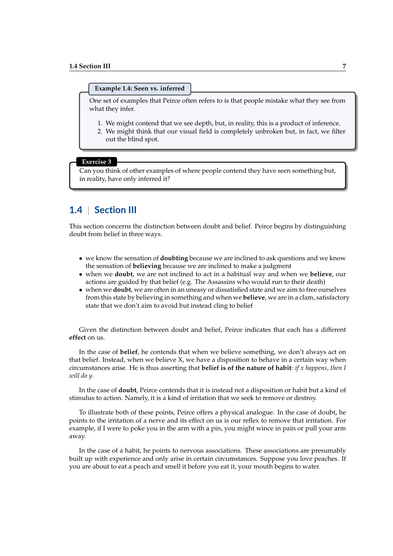#### **Example 1.4: Seen vs. inferred**

One set of examples that Peirce often refers to is that people mistake what they see from what they infer.

- 1. We might contend that we see depth, but, in reality, this is a product of inference.
- 2. We might think that our visual field is completely unbroken but, in fact, we filter out the blind spot.

#### **Exercise 3**

Can you think of other examples of where people contend they have seen something but, in reality, have only inferred it?

# **1.4** | **Section III**

This section concerns the distinction between doubt and belief. Peirce begins by distinguishing doubt from belief in three ways.

- we know the sensation of **doubting** because we are inclined to ask questions and we know the sensation of **believing** because we are inclined to make a judgment
- when we **doubt**, we are not inclined to act in a habitual way and when we **believe**, our actions are guided by that belief (e.g. The Assassins who would run to their death)
- when we **doubt**, we are often in an uneasy or dissatisfied state and we aim to free ourselves from this state by believing in something and when we **believe**, we are in a clam, satisfactory state that we don't aim to avoid but instead cling to belief

Given the distinction between doubt and belief, Peirce indicates that each has a different **effect** on us.

In the case of **belief**, he contends that when we believe something, we don't always act on that belief. Instead, when we believe  $X$ , we have a disposition to behave in a certain way when circumstances arise. He is thus asserting that **belief is of the nature of habit**: *if x happens, then I will do y*.

In the case of **doubt**, Peirce contends that it is instead not a disposition or habit but a kind of stimulus to action. Namely, it is a kind of irritation that we seek to remove or destroy.

To illustrate both of these points, Peirce offers a physical analogue. In the case of doubt, he points to the irritation of a nerve and its effect on us is our reflex to remove that irritation. For example, if I were to poke you in the arm with a pin, you might wince in pain or pull your arm away.

In the case of a habit, he points to nervous associations. These associations are presumably built up with experience and only arise in certain circumstances. Suppose you love peaches. If you are about to eat a peach and smell it before you eat it, your mouth begins to water.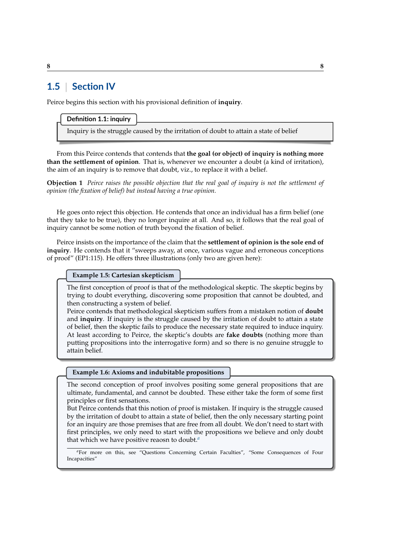# **1.5** | **Section IV**

Peirce begins this section with his provisional definition of **inquiry**.

## **Definition 1.1: inquiry**

Inquiry is the struggle caused by the irritation of doubt to attain a state of belief

From this Peirce contends that contends that **the goal (or object) of inquiry is nothing more than the settlement of opinion**. That is, whenever we encounter a doubt (a kind of irritation), the aim of an inquiry is to remove that doubt, viz., to replace it with a belief.

**Objection 1** *Peirce raises the possible objection that the real goal of inquiry is not the settlement of opinion (the fixation of belief) but instead having a true opinion.*

He goes onto reject this objection. He contends that once an individual has a firm belief (one that they take to be true), they no longer inquire at all. And so, it follows that the real goal of inquiry cannot be some notion of truth beyond the fixation of belief.

Peirce insists on the importance of the claim that the **settlement of opinion is the sole end of inquiry**. He contends that it "sweeps away, at once, various vague and erroneous conceptions of proof" (EP1:115). He offers three illustrations (only two are given here):

**Example 1.5: Cartesian skepticism**

The first conception of proof is that of the methodological skeptic. The skeptic begins by trying to doubt everything, discovering some proposition that cannot be doubted, and then constructing a system of belief.

Peirce contends that methodological skepticism suffers from a mistaken notion of **doubt** and **inquiry**. If inquiry is the struggle caused by the irritation of doubt to attain a state of belief, then the skeptic fails to produce the necessary state required to induce inquiry. At least according to Peirce, the skeptic's doubts are **fake doubts** (nothing more than putting propositions into the interrogative form) and so there is no genuine struggle to attain belief.

## **Example 1.6: Axioms and indubitable propositions**

The second conception of proof involves positing some general propositions that are ultimate, fundamental, and cannot be doubted. These either take the form of some first principles or first sensations.

But Peirce contends that this notion of proof is mistaken. If inquiry is the struggle caused by the irritation of doubt to attain a state of belief, then the only necessary starting point for an inquiry are those premises that are free from all doubt. We don't need to start with first principles, we only need to start with the propositions we believe and only doubt that which we have positive reaosn to doubt.*[a](#page-7-0)*

<span id="page-7-0"></span>*<sup>a</sup>*For more on this, see "Questions Concerning Certain Faculties", "Some Consequences of Four Incapacities"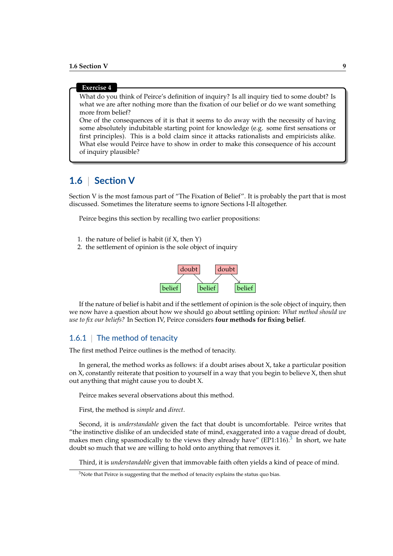#### **Exercise 4**

What do you think of Peirce's definition of inquiry? Is all inquiry tied to some doubt? Is what we are after nothing more than the fixation of our belief or do we want something more from belief?

One of the consequences of it is that it seems to do away with the necessity of having some absolutely indubitable starting point for knowledge (e.g. some first sensations or first principles). This is a bold claim since it attacks rationalists and empiricists alike. What else would Peirce have to show in order to make this consequence of his account of inquiry plausible?

# **1.6** | **Section V**

Section V is the most famous part of "The Fixation of Belief". It is probably the part that is most discussed. Sometimes the literature seems to ignore Sections I-II altogether.

Peirce begins this section by recalling two earlier propositions:

- 1. the nature of belief is habit (if X, then Y)
- 2. the settlement of opinion is the sole object of inquiry



If the nature of belief is habit and if the settlement of opinion is the sole object of inquiry, then we now have a question about how we should go about settling opinion: *What method should we use to fix our beliefs?* In Section IV, Peirce considers **four methods for fixing belief**.

## 1.6.1 The method of tenacity

The first method Peirce outlines is the method of tenacity.

In general, the method works as follows: if a doubt arises about X, take a particular position on X, constantly reiterate that position to yourself in a way that you begin to believe X, then shut out anything that might cause you to doubt X.

Peirce makes several observations about this method.

First, the method is *simple* and *direct*.

Second, it is *understandable* given the fact that doubt is uncomfortable. Peirce writes that "the instinctive dislike of an undecided state of mind, exaggerated into a vague dread of doubt, makes men cling spasmodically to the views they already have" (EP1:116).<sup>[3](#page-8-0)</sup> In short, we hate doubt so much that we are willing to hold onto anything that removes it.

Third, it is *understandable* given that immovable faith often yields a kind of peace of mind.

<span id="page-8-0"></span> $3$ Note that Peirce is suggesting that the method of tenacity explains the status quo bias.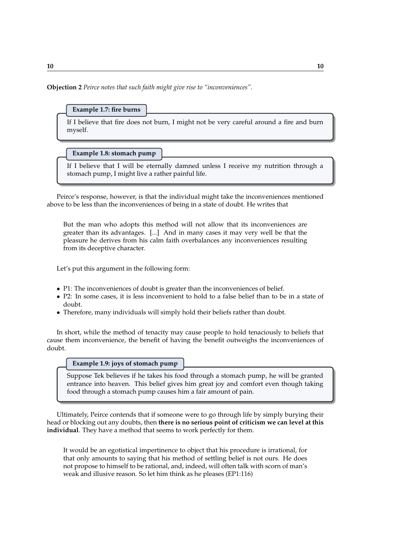**Objection 2** *Peirce notes that such faith might give rise to "inconveniences".*

### **Example 1.7: fire burns**

If I believe that fire does not burn, I might not be very careful around a fire and burn myself.

**Example 1.8: stomach pump**

If I believe that I will be eternally damned unless I receive my nutrition through a stomach pump, I might live a rather painful life.

Peirce's response, however, is that the individual might take the inconveniences mentioned above to be less than the inconveniences of being in a state of doubt. He writes that

But the man who adopts this method will not allow that its inconveniences are greater than its advantages. [...] And in many cases it may very well be that the pleasure he derives from his calm faith overbalances any inconveniences resulting from its deceptive character.

Let's put this argument in the following form:

- P1: The inconveniences of doubt is greater than the inconveniences of belief.
- P2: In some cases, it is less inconvenient to hold to a false belief than to be in a state of doubt.
- Therefore, many individuals will simply hold their beliefs rather than doubt.

In short, while the method of tenacity may cause people to hold tenaciously to beliefs that cause them inconvenience, the benefit of having the benefit outweighs the inconveniences of doubt.

#### **Example 1.9: joys of stomach pump**

Suppose Tek believes if he takes his food through a stomach pump, he will be granted entrance into heaven. This belief gives him great joy and comfort even though taking food through a stomach pump causes him a fair amount of pain.

Ultimately, Peirce contends that if someone were to go through life by simply burying their head or blocking out any doubts, then **there is no serious point of criticism we can level at this individual**. They have a method that seems to work perfectly for them.

It would be an egotistical impertinence to object that his procedure is irrational, for that only amounts to saying that his method of settling belief is not ours. He does not propose to himself to be rational, and, indeed, will often talk with scorn of man's weak and illusive reason. So let him think as he pleases (EP1:116)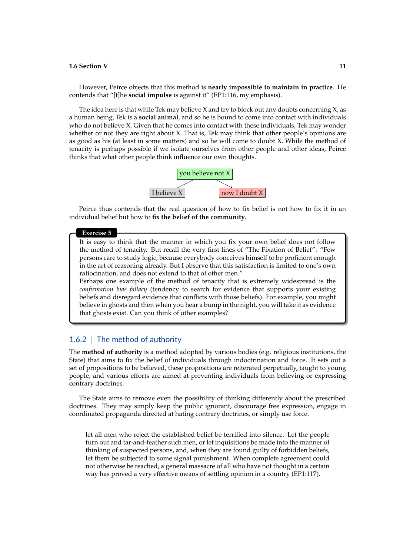However, Peirce objects that this method is **nearly impossible to maintain in practice**. He contends that "[t]he **social impulse** is against it" (EP1:116, my emphasis).

The idea here is that while Tek may believe  $X$  and try to block out any doubts concerning  $X$ , as a human being, Tek is a **social animal**, and so he is bound to come into contact with individuals who do not believe X. Given that he comes into contact with these individuals, Tek may wonder whether or not they are right about X. That is, Tek may think that other people's opinions are as good as his (at least in some matters) and so he will come to doubt X. While the method of tenacity is perhaps possible if we isolate ourselves from other people and other ideas, Peirce thinks that what other people think influence our own thoughts.



Peirce thus contends that the real question of how to fix belief is not how to fix it in an individual belief but how to **fix the belief of the community**.

#### **Exercise 5**

It is easy to think that the manner in which you fix your own belief does not follow the method of tenacity. But recall the very first lines of "The Fixation of Belief": "Few persons care to study logic, because everybody conceives himself to be proficient enough in the art of reasoning already. But I observe that this satisfaction is limited to one's own ratiocination, and does not extend to that of other men."

Perhaps one example of the method of tenacity that is extremely widespread is the *confirmation bias fallacy* (tendency to search for evidence that supports your existing beliefs and disregard evidence that conflicts with those beliefs). For example, you might believe in ghosts and then when you hear a bump in the night, you will take it as evidence that ghosts exist. Can you think of other examples?

## 1.6.2 The method of authority

The **method of authority** is a method adopted by various bodies (e.g. religious institutions, the State) that aims to fix the belief of individuals through indoctrination and force. It sets out a set of propositions to be believed, these propositions are reiterated perpetually, taught to young people, and various efforts are aimed at preventing individuals from believing or expressing contrary doctrines.

The State aims to remove even the possibility of thinking differently about the prescribed doctrines. They may simply keep the public ignorant, discourage free expression, engage in coordinated propaganda directed at hating contrary doctrines, or simply use force.

let all men who reject the established belief be terrified into silence. Let the people turn out and tar-and-feather such men, or let inquisitions be made into the manner of thinking of suspected persons, and, when they are found guilty of forbidden beliefs, let them be subjected to some signal punishment. When complete agreement could not otherwise be reached, a general massacre of all who have not thought in a certain way has proved a very effective means of settling opinion in a country (EP1:117).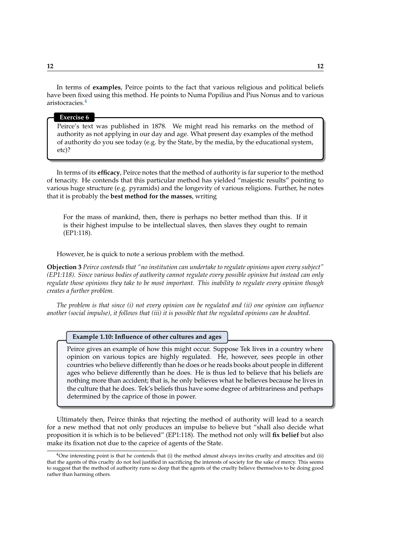In terms of **examples**, Peirce points to the fact that various religious and political beliefs have been fixed using this method. He points to Numa Popilius and Pius Nonus and to various aristocracies.[4](#page-11-0)

#### **Exercise 6**

Peirce's text was published in 1878. We might read his remarks on the method of authority as not applying in our day and age. What present day examples of the method of authority do you see today (e.g. by the State, by the media, by the educational system, etc)?

In terms of its **efficacy**, Peirce notes that the method of authority is far superior to the method of tenacity. He contends that this particular method has yielded "majestic results" pointing to various huge structure (e.g. pyramids) and the longevity of various religions. Further, he notes that it is probably the **best method for the masses**, writing

For the mass of mankind, then, there is perhaps no better method than this. If it is their highest impulse to be intellectual slaves, then slaves they ought to remain (EP1:118).

However, he is quick to note a serious problem with the method.

**Objection 3** *Peirce contends that "no institution can undertake to regulate opinions upon every subject" (EP1:118). Since various bodies of authority cannot regulate every possible opinion but instead can only regulate those opinions they take to be most important. This inability to regulate every opinion though creates a further problem.*

*The problem is that since (i) not every opinion can be regulated and (ii) one opinion can influence another (social impulse), it follows that (iii) it is possible that the regulated opinions can be doubted.*

#### **Example 1.10: Influence of other cultures and ages**

Peirce gives an example of how this might occur. Suppose Tek lives in a country where opinion on various topics are highly regulated. He, however, sees people in other countries who believe differently than he does or he reads books about people in different ages who believe differently than he does. He is thus led to believe that his beliefs are nothing more than accident; that is, he only believes what he believes because he lives in the culture that he does. Tek's beliefs thus have some degree of arbitrariness and perhaps determined by the caprice of those in power.

Ultimately then, Peirce thinks that rejecting the method of authority will lead to a search for a new method that not only produces an impulse to believe but "shall also decide what proposition it is which is to be believed" (EP1:118). The method not only will **fix belief** but also make its fixation not due to the caprice of agents of the State.

<span id="page-11-0"></span> $4$ One interesting point is that he contends that (i) the method almost always invites cruelty and atrocities and (ii) that the agents of this cruelty do not feel justified in sacrificing the interests of society for the sake of mercy. This seems to suggest that the method of authority runs so deep that the agents of the cruelty believe themselves to be doing good rather than harming others.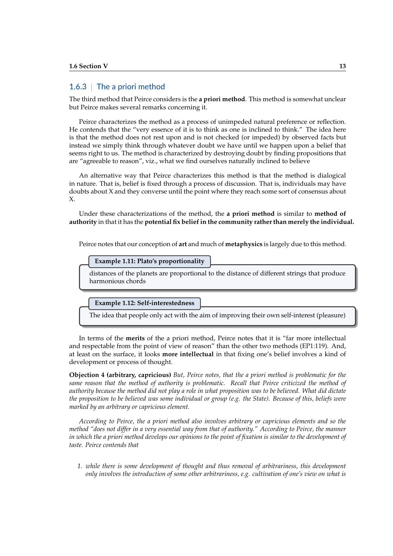## 1.6.3 | The a priori method

The third method that Peirce considers is the **a priori method**. This method is somewhat unclear but Peirce makes several remarks concerning it.

Peirce characterizes the method as a process of unimpeded natural preference or reflection. He contends that the "very essence of it is to think as one is inclined to think." The idea here is that the method does not rest upon and is not checked (or impeded) by observed facts but instead we simply think through whatever doubt we have until we happen upon a belief that seems right to us. The method is characterized by destroying doubt by finding propositions that are "agreeable to reason", viz., what we find ourselves naturally inclined to believe

An alternative way that Peirce characterizes this method is that the method is dialogical in nature. That is, belief is fixed through a process of discussion. That is, individuals may have doubts about X and they converse until the point where they reach some sort of consensus about X.

Under these characterizations of the method, the **a priori method** is similar to **method of authority** in that it has the **potential fix belief in the community rather than merely the individual.**

Peirce notes that our conception of **art** and much of **metaphysics** is largely due to this method.

#### **Example 1.11: Plato's proportionality**

distances of the planets are proportional to the distance of different strings that produce harmonious chords

**Example 1.12: Self-interestedness**

The idea that people only act with the aim of improving their own self-interest (pleasure)

In terms of the **merits** of the a priori method, Peirce notes that it is "far more intellectual and respectable from the point of view of reason" than the other two methods (EP1:119). And, at least on the surface, it looks **more intellectual** in that fixing one's belief involves a kind of development or process of thought.

**Objection 4 (arbitrary, capricious)** *But, Peirce notes, that the a priori method is problematic for the same reason that the method of authority is problematic. Recall that Peirce criticized the method of authority because the method did not play a role in what proposition was to be believed. What did dictate the proposition to be believed was some individual or group (e.g. the State). Because of this, beliefs were marked by an arbitrary or capricious element.*

*According to Peirce, the a priori method also involves arbitrary or capricious elements and so the method "does not differ in a very essential way from that of authority." According to Peirce, the manner in which the a priori method develops our opinions to the point of fixation is similar to the development of taste. Peirce contends that*

*1. while there is some development of thought and thus removal of arbitrariness, this development only involves the introduction of some other arbitrariness, e.g. cultivation of one's view on what is*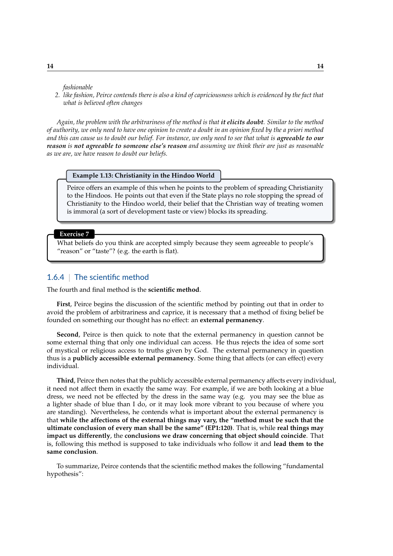*fashionable*

*2. like fashion, Peirce contends there is also a kind of capriciousness which is evidenced by the fact that what is believed often changes*

*Again, the problem with the arbitrariness of the method is that it elicits doubt. Similar to the method of authority, we only need to have one opinion to create a doubt in an opinion fixed by the a priori method* and this can cause us to doubt our belief. For instance, we only need to see that what is **agreeable to our** *reason is not agreeable to someone else's reason and assuming we think their are just as reasonable as we are, we have reason to doubt our beliefs.*

#### **Example 1.13: Christianity in the Hindoo World**

Peirce offers an example of this when he points to the problem of spreading Christianity to the Hindoos. He points out that even if the State plays no role stopping the spread of Christianity to the Hindoo world, their belief that the Christian way of treating women is immoral (a sort of development taste or view) blocks its spreading.

**Exercise 7**

What beliefs do you think are accepted simply because they seem agreeable to people's "reason" or "taste"? (e.g. the earth is flat).

## 1.6.4 | The scientific method

The fourth and final method is the **scientific method**.

**First**, Peirce begins the discussion of the scientific method by pointing out that in order to avoid the problem of arbitrariness and caprice, it is necessary that a method of fixing belief be founded on something our thought has no effect: an **external permanency**.

**Second**, Peirce is then quick to note that the external permanency in question cannot be some external thing that only one individual can access. He thus rejects the idea of some sort of mystical or religious access to truths given by God. The external permanency in question thus is a **publicly accessible external permanency**. Some thing that affects (or can effect) every individual.

**Third**, Peirce then notes that the publicly accessible external permanency affects every individual, it need not affect them in exactly the same way. For example, if we are both looking at a blue dress, we need not be effected by the dress in the same way (e.g. you may see the blue as a lighter shade of blue than I do, or it may look more vibrant to you because of where you are standing). Nevertheless, he contends what is important about the external permanency is that **while the affections of the external things may vary, the "method must be such that the ultimate conclusion of every man shall be the same" (EP1:120)**. That is, while **real things may impact us differently**, the **conclusions we draw concerning that object should coincide**. That is, following this method is supposed to take individuals who follow it and **lead them to the same conclusion**.

To summarize, Peirce contends that the scientific method makes the following "fundamental hypothesis":

**14 14**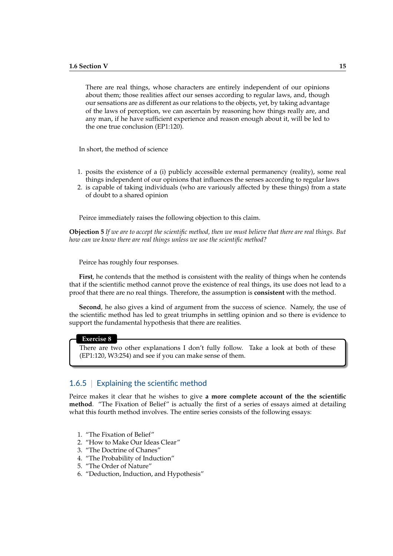There are real things, whose characters are entirely independent of our opinions about them; those realities affect our senses according to regular laws, and, though our sensations are as different as our relations to the objects, yet, by taking advantage of the laws of perception, we can ascertain by reasoning how things really are, and any man, if he have sufficient experience and reason enough about it, will be led to the one true conclusion (EP1:120).

In short, the method of science

- 1. posits the existence of a (i) publicly accessible external permanency (reality), some real things independent of our opinions that influences the senses according to regular laws
- 2. is capable of taking individuals (who are variously affected by these things) from a state of doubt to a shared opinion

Peirce immediately raises the following objection to this claim.

**Objection 5** *If we are to accept the scientific method, then we must believe that there are real things. But how can we know there are real things unless we use the scientific method?*

Peirce has roughly four responses.

**First**, he contends that the method is consistent with the reality of things when he contends that if the scientific method cannot prove the existence of real things, its use does not lead to a proof that there are no real things. Therefore, the assumption is **consistent** with the method.

**Second**, he also gives a kind of argument from the success of science. Namely, the use of the scientific method has led to great triumphs in settling opinion and so there is evidence to support the fundamental hypothesis that there are realities.

#### **Exercise 8**

There are two other explanations I don't fully follow. Take a look at both of these (EP1:120, W3:254) and see if you can make sense of them.

## 1.6.5 | Explaining the scientific method

Peirce makes it clear that he wishes to give **a more complete account of the the scientific method**. "The Fixation of Belief" is actually the first of a series of essays aimed at detailing what this fourth method involves. The entire series consists of the following essays:

- 1. "The Fixation of Belief"
- 2. "How to Make Our Ideas Clear"
- 3. "The Doctrine of Chanes"
- 4. "The Probability of Induction"
- 5. "The Order of Nature"
- 6. "Deduction, Induction, and Hypothesis"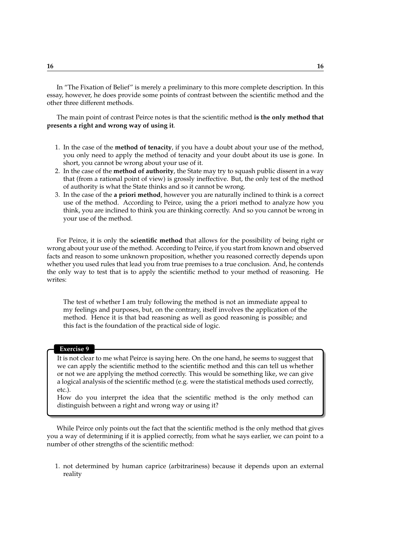In "The Fixation of Belief" is merely a preliminary to this more complete description. In this essay, however, he does provide some points of contrast between the scientific method and the other three different methods.

The main point of contrast Peirce notes is that the scientific method **is the only method that presents a right and wrong way of using it**.

- 1. In the case of the **method of tenacity**, if you have a doubt about your use of the method, you only need to apply the method of tenacity and your doubt about its use is gone. In short, you cannot be wrong about your use of it.
- 2. In the case of the **method of authority**, the State may try to squash public dissent in a way that (from a rational point of view) is grossly ineffective. But, the only test of the method of authority is what the State thinks and so it cannot be wrong.
- 3. In the case of the **a priori method**, however you are naturally inclined to think is a correct use of the method. According to Peirce, using the a priori method to analyze how you think, you are inclined to think you are thinking correctly. And so you cannot be wrong in your use of the method.

For Peirce, it is only the **scientific method** that allows for the possibility of being right or wrong about your use of the method. According to Peirce, if you start from known and observed facts and reason to some unknown proposition, whether you reasoned correctly depends upon whether you used rules that lead you from true premises to a true conclusion. And, he contends the only way to test that is to apply the scientific method to your method of reasoning. He writes:

The test of whether I am truly following the method is not an immediate appeal to my feelings and purposes, but, on the contrary, itself involves the application of the method. Hence it is that bad reasoning as well as good reasoning is possible; and this fact is the foundation of the practical side of logic.

#### **Exercise 9**

It is not clear to me what Peirce is saying here. On the one hand, he seems to suggest that we can apply the scientific method to the scientific method and this can tell us whether or not we are applying the method correctly. This would be something like, we can give a logical analysis of the scientific method (e.g. were the statistical methods used correctly, etc.).

How do you interpret the idea that the scientific method is the only method can distinguish between a right and wrong way or using it?

While Peirce only points out the fact that the scientific method is the only method that gives you a way of determining if it is applied correctly, from what he says earlier, we can point to a number of other strengths of the scientific method:

1. not determined by human caprice (arbitrariness) because it depends upon an external reality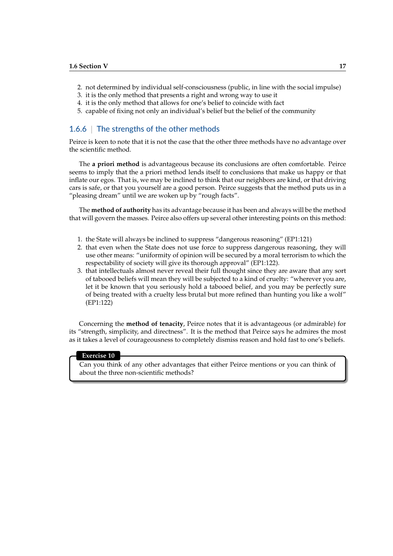- 2. not determined by individual self-consciousness (public, in line with the social impulse)
- 3. it is the only method that presents a right and wrong way to use it
- 4. it is the only method that allows for one's belief to coincide with fact
- 5. capable of fixing not only an individual's belief but the belief of the community

## 1.6.6 The strengths of the other methods

Peirce is keen to note that it is not the case that the other three methods have no advantage over the scientific method.

The **a priori method** is advantageous because its conclusions are often comfortable. Peirce seems to imply that the a priori method lends itself to conclusions that make us happy or that inflate our egos. That is, we may be inclined to think that our neighbors are kind, or that driving cars is safe, or that you yourself are a good person. Peirce suggests that the method puts us in a "pleasing dream" until we are woken up by "rough facts".

The **method of authority** has its advantage because it has been and always will be the method that will govern the masses. Peirce also offers up several other interesting points on this method:

- 1. the State will always be inclined to suppress "dangerous reasoning" (EP1:121)
- 2. that even when the State does not use force to suppress dangerous reasoning, they will use other means: "uniformity of opinion will be secured by a moral terrorism to which the respectability of society will give its thorough approval" (EP1:122).
- 3. that intellectuals almost never reveal their full thought since they are aware that any sort of tabooed beliefs will mean they will be subjected to a kind of cruelty: "wherever you are, let it be known that you seriously hold a tabooed belief, and you may be perfectly sure of being treated with a cruelty less brutal but more refined than hunting you like a wolf" (EP1:122)

Concerning the **method of tenacity**, Peirce notes that it is advantageous (or admirable) for its "strength, simplicity, and directness". It is the method that Peirce says he admires the most as it takes a level of courageousness to completely dismiss reason and hold fast to one's beliefs.

#### **Exercise 10**

Can you think of any other advantages that either Peirce mentions or you can think of about the three non-scientific methods?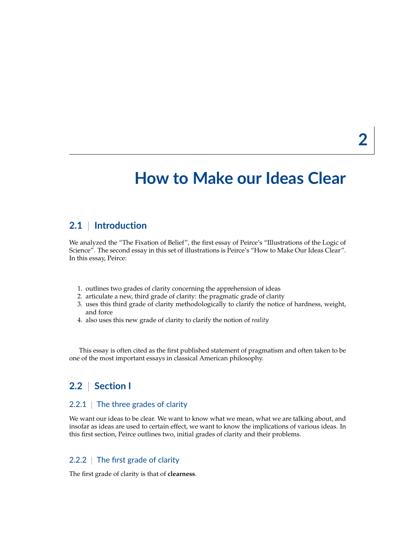# **How to Make our Ideas Clear**

# **2.1** | **Introduction**

We analyzed the "The Fixation of Belief", the first essay of Peirce's "Illustrations of the Logic of Science". The second essay in this set of illustrations is Peirce's "How to Make Our Ideas Clear". In this essay, Peirce:

- 1. outlines two grades of clarity concerning the apprehension of ideas
- 2. articulate a new, third grade of clarity: the pragmatic grade of clarity
- 3. uses this third grade of clarity methodologically to clarify the notice of hardness, weight, and force
- 4. also uses this new grade of clarity to clarify the notion of *reality*

This essay is often cited as the first published statement of pragmatism and often taken to be one of the most important essays in classical American philosophy.

# **2.2** | **Section I**

## 2.2.1 The three grades of clarity

We want our ideas to be clear. We want to know what we mean, what we are talking about, and insofar as ideas are used to certain effect, we want to know the implications of various ideas. In this first section, Peirce outlines two, initial grades of clarity and their problems.

## 2.2.2 The first grade of clarity

The first grade of clarity is that of **clearness**.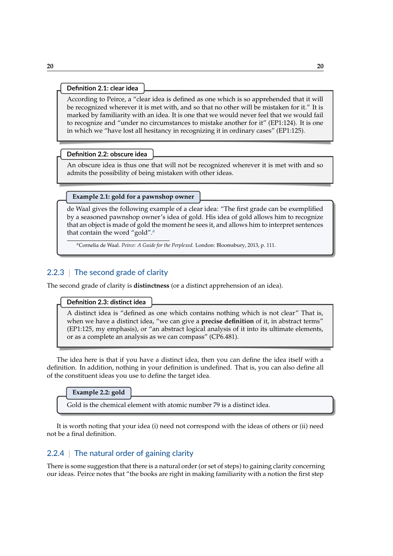#### **Definition 2.1: clear idea**

According to Peirce, a "clear idea is defined as one which is so apprehended that it will be recognized wherever it is met with, and so that no other will be mistaken for it." It is marked by familiarity with an idea. It is one that we would never feel that we would fail to recognize and "under no circumstances to mistake another for it" (EP1:124). It is one in which we "have lost all hesitancy in recognizing it in ordinary cases" (EP1:125).

#### **Definition 2.2: obscure idea**

An obscure idea is thus one that will not be recognized wherever it is met with and so admits the possibility of being mistaken with other ideas.

#### **Example 2.1: gold for a pawnshop owner**

de Waal gives the following example of a clear idea: "The first grade can be exemplified by a seasoned pawnshop owner's idea of gold. His idea of gold allows him to recognize that an object is made of gold the moment he sees it, and allows him to interpret sentences that contain the word "gold".*[a](#page-19-0)*

<span id="page-19-0"></span>*<sup>a</sup>*Cornelia de Waal. *Peirce: A Guide for the Perplexed*. London: Bloomsbury, 2013, p. 111.

## 2.2.3 The second grade of clarity

The second grade of clarity is **distinctness** (or a distinct apprehension of an idea).

## **Definition 2.3: distinct idea**

A distinct idea is "defined as one which contains nothing which is not clear" That is, when we have a distinct idea, "we can give a **precise definition** of it, in abstract terms" (EP1:125, my emphasis), or "an abstract logical analysis of it into its ultimate elements, or as a complete an analysis as we can compass" (CP6.481).

The idea here is that if you have a distinct idea, then you can define the idea itself with a definition. In addition, nothing in your definition is undefined. That is, you can also define all of the constituent ideas you use to define the target idea.

**Example 2.2: gold**

Gold is the chemical element with atomic number 79 is a distinct idea.

It is worth noting that your idea (i) need not correspond with the ideas of others or (ii) need not be a final definition.

## 2.2.4 The natural order of gaining clarity

There is some suggestion that there is a natural order (or set of steps) to gaining clarity concerning our ideas. Peirce notes that "the books are right in making familiarity with a notion the first step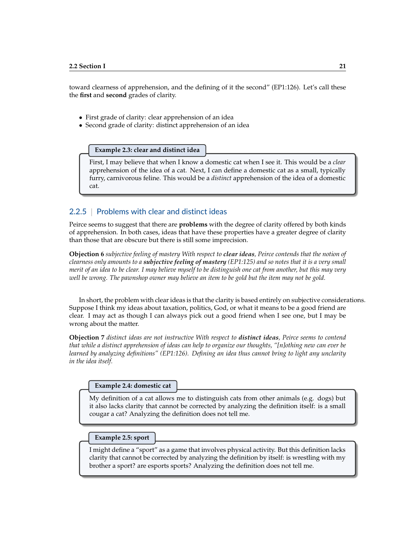toward clearness of apprehension, and the defining of it the second" (EP1:126). Let's call these the **first** and **second** grades of clarity.

- First grade of clarity: clear apprehension of an idea
- Second grade of clarity: distinct apprehension of an idea

**Example 2.3: clear and distinct idea**

First, I may believe that when I know a domestic cat when I see it. This would be a *clear* apprehension of the idea of a cat. Next, I can define a domestic cat as a small, typically furry, carnivorous feline. This would be a *distinct* apprehension of the idea of a domestic cat.

## 2.2.5 | Problems with clear and distinct ideas

Peirce seems to suggest that there are **problems** with the degree of clarity offered by both kinds of apprehension. In both cases, ideas that have these properties have a greater degree of clarity than those that are obscure but there is still some imprecision.

**Objection 6** *subjective feeling of mastery With respect to clear ideas, Peirce contends that the notion of clearness only amounts to a subjective feeling of mastery (EP1:125) and so notes that it is a very small merit of an idea to be clear. I may believe myself to be distinguish one cat from another, but this may very well be wrong. The pawnshop owner may believe an item to be gold but the item may not be gold.*

In short, the problem with clear ideas is that the clarity is based entirely on subjective considerations. Suppose I think my ideas about taxation, politics, God, or what it means to be a good friend are clear. I may act as though I can always pick out a good friend when I see one, but I may be wrong about the matter.

**Objection 7** *distinct ideas are not instructive With respect to distinct ideas, Peirce seems to contend that while a distinct apprehension of ideas can help to organize our thoughts, "[n]othing new can ever be learned by analyzing definitions" (EP1:126). Defining an idea thus cannot bring to light any unclarity in the idea itself.*

**Example 2.4: domestic cat**

My definition of a cat allows me to distinguish cats from other animals (e.g. dogs) but it also lacks clarity that cannot be corrected by analyzing the definition itself: is a small cougar a cat? Analyzing the definition does not tell me.

#### **Example 2.5: sport**

I might define a "sport" as a game that involves physical activity. But this definition lacks clarity that cannot be corrected by analyzing the definition by itself: is wrestling with my brother a sport? are esports sports? Analyzing the definition does not tell me.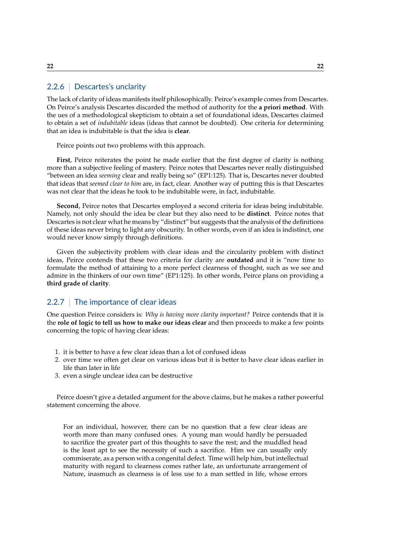The lack of clarity of ideas manifests itself philosophically. Peirce's example comes from Descartes. On Peirce's analysis Descartes discarded the method of authority for the **a priori method**. With the ues of a methodological skepticism to obtain a set of foundational ideas, Descartes claimed to obtain a set of *indubitable* ideas (ideas that cannot be doubted). One criteria for determining that an idea is indubitable is that the idea is **clear**.

Peirce points out two problems with this approach.

**First**, Peirce reiterates the point he made earlier that the first degree of clarity is nothing more than a subjective feeling of mastery. Peirce notes that Descartes never really distinguished "between an idea *seeming* clear and really being so" (EP1:125). That is, Descartes never doubted that ideas that *seemed clear to him* are, in fact, clear. Another way of putting this is that Descartes was not clear that the ideas he took to be indubitable were, in fact, indubitable.

**Second**, Peirce notes that Descartes employed a second criteria for ideas being indubitable. Namely, not only should the idea be clear but they also need to be **distinct**. Peirce notes that Descartes is not clear what he means by "distinct" but suggests that the analysis of the definitions of these ideas never bring to light any obscurity. In other words, even if an idea is indistinct, one would never know simply through definitions.

Given the subjectivity problem with clear ideas and the circularity problem with distinct ideas, Peirce contends that these two criteria for clarity are **outdated** and it is "now time to formulate the method of attaining to a more perfect clearness of thought, such as we see and admire in the thinkers of our own time" (EP1:125). In other words, Peirce plans on providing a **third grade of clarity**.

## 2.2.7 | The importance of clear ideas

One question Peirce considers is: *Why is having more clarity important?* Peirce contends that it is the **role of logic to tell us how to make our ideas clear** and then proceeds to make a few points concerning the topic of having clear ideas:

- 1. it is better to have a few clear ideas than a lot of confused ideas
- 2. over time we often get clear on various ideas but it is better to have clear ideas earlier in life than later in life
- 3. even a single unclear idea can be destructive

Peirce doesn't give a detailed argument for the above claims, but he makes a rather powerful statement concerning the above.

For an individual, however, there can be no question that a few clear ideas are worth more than many confused ones. A young man would hardly be persuaded to sacrifice the greater part of this thoughts to save the rest; and the muddled head is the least apt to see the necessity of such a sacrifice. Him we can usually only commiserate, as a person with a congenital defect. Time will help him, but intellectual maturity with regard to clearness comes rather late, an unfortunate arrangement of Nature, inasmuch as clearness is of less use to a man settled in life, whose errors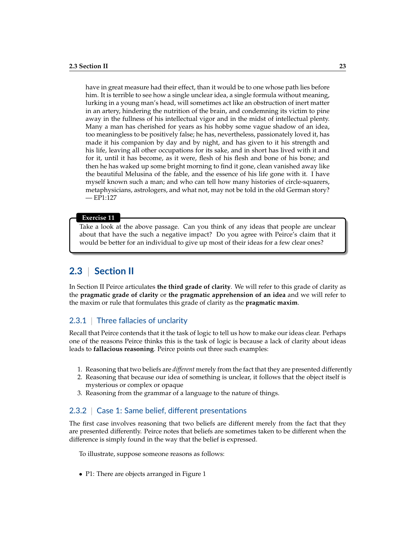have in great measure had their effect, than it would be to one whose path lies before him. It is terrible to see how a single unclear idea, a single formula without meaning, lurking in a young man's head, will sometimes act like an obstruction of inert matter in an artery, hindering the nutrition of the brain, and condemning its victim to pine away in the fullness of his intellectual vigor and in the midst of intellectual plenty. Many a man has cherished for years as his hobby some vague shadow of an idea, too meaningless to be positively false; he has, nevertheless, passionately loved it, has made it his companion by day and by night, and has given to it his strength and his life, leaving all other occupations for its sake, and in short has lived with it and for it, until it has become, as it were, flesh of his flesh and bone of his bone; and then he has waked up some bright morning to find it gone, clean vanished away like the beautiful Melusina of the fable, and the essence of his life gone with it. I have myself known such a man; and who can tell how many histories of circle-squarers, metaphysicians, astrologers, and what not, may not be told in the old German story?  $-EP1:127$ 

#### **Exercise 11**

Take a look at the above passage. Can you think of any ideas that people are unclear about that have the such a negative impact? Do you agree with Peirce's claim that it would be better for an individual to give up most of their ideas for a few clear ones?

# **2.3** | **Section II**

In Section II Peirce articulates **the third grade of clarity**. We will refer to this grade of clarity as the **pragmatic grade of clarity** or **the pragmatic apprehension of an idea** and we will refer to the maxim or rule that formulates this grade of clarity as the **pragmatic maxim**.

## 2.3.1 | Three fallacies of unclarity

Recall that Peirce contends that it the task of logic to tell us how to make our ideas clear. Perhaps one of the reasons Peirce thinks this is the task of logic is because a lack of clarity about ideas leads to **fallacious reasoning**. Peirce points out three such examples:

- 1. Reasoning that two beliefs are *different* merely from the fact that they are presented differently
- 2. Reasoning that because our idea of something is unclear, it follows that the object itself is mysterious or complex or opaque
- 3. Reasoning from the grammar of a language to the nature of things.

## 2.3.2 | Case 1: Same belief, different presentations

The first case involves reasoning that two beliefs are different merely from the fact that they are presented differently. Peirce notes that beliefs are sometimes taken to be different when the difference is simply found in the way that the belief is expressed.

To illustrate, suppose someone reasons as follows:

• P1: There are objects arranged in Figure 1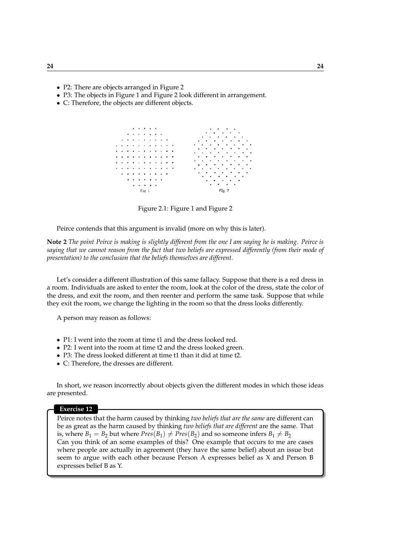- P2: There are objects arranged in Figure 2
- P3: The objects in Figure 1 and Figure 2 look different in arrangement.
- C: Therefore, the objects are different objects.



Figure 2.1: Figure 1 and Figure 2

Peirce contends that this argument is invalid (more on why this is later).

**Note 2** *The point Peirce is making is slightly different from the one I am saying he is making. Peirce is saying that we cannot reason from the fact that two beliefs are expressed differently (from their mode of presentation) to the conclusion that the beliefs themselves are different.*

Let's consider a different illustration of this same fallacy. Suppose that there is a red dress in a room. Individuals are asked to enter the room, look at the color of the dress, state the color of the dress, and exit the room, and then reenter and perform the same task. Suppose that while they exit the room, we change the lighting in the room so that the dress looks differently.

A person may reason as follows:

- P1: I went into the room at time t1 and the dress looked red.
- P2: I went into the room at time t2 and the dress looked green.
- P3: The dress looked different at time t1 than it did at time t2.
- C: Therefore, the dresses are different.

In short, we reason incorrectly about objects given the different modes in which those ideas are presented.

#### **Exercise 12**

Peirce notes that the harm caused by thinking *two beliefs that are the same* are different can be as great as the harm caused by thinking *two beliefs that are different* are the same. That is, where  $B_1 = B_2$  but where  $Pres(B_1) \neq Pres(B_2)$  and so someone infers  $B_1 \neq B_2$ Can you think of an some examples of this? One example that occurs to me are cases where people are actually in agreement (they have the same belief) about an issue but seem to argue with each other because Person A expresses belief as X and Person B expresses belief B as Y.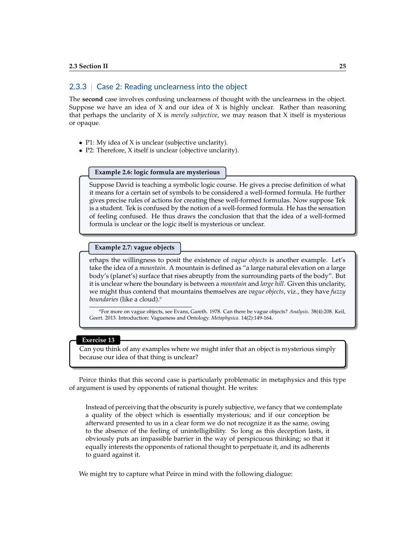## 2.3.3 | Case 2: Reading unclearness into the object

The **second** case involves confusing unclearness of thought with the unclearness in the object. Suppose we have an idea of  $X$  and our idea of  $X$  is highly unclear. Rather than reasoning that perhaps the unclarity of X is *merely subjective*, we may reason that X itself is mysterious or opaque.

- P1: My idea of X is unclear (subjective unclarity).
- P2: Therefore, X itself is unclear (objective unclarity).

### **Example 2.6: logic formula are mysterious**

Suppose David is teaching a symbolic logic course. He gives a precise definition of what it means for a certain set of symbols to be considered a well-formed formula. He further gives precise rules of actions for creating these well-formed formulas. Now suppose Tek is a student. Tek is confused by the notion of a well-formed formula. He has the sensation of feeling confused. He thus draws the conclusion that that the idea of a well-formed formula is unclear or the logic itself is mysterious or unclear.

#### **Example 2.7: vague objects**

erhaps the willingness to posit the existence of *vague objects* is another example. Let's take the idea of a *mountain*. A mountain is defined as "a large natural elevation on a large body's (planet's) surface that rises abruptly from the surrounding parts of the body". But it is unclear where the boundary is between a *mountain* and *large hill*. Given this unclarity, we might thus contend that mountains themselves are *vague objects*, viz., they have *fuzzy boundaries* (like a cloud).*[a](#page-24-0)*

<span id="page-24-0"></span>*<sup>a</sup>*For more on vague objects, see Evans, Gareth. 1978. Can there be vague objects? *Analysis*. 38(4):208. Keil, Geert. 2013. Introduction: Vagueness and Ontology. *Metaphysica.* 14(2):149-164.

### **Exercise 13**

Can you think of any examples where we might infer that an object is mysterious simply because our idea of that thing is unclear?

Peirce thinks that this second case is particularly problematic in metaphysics and this type of argument is used by opponents of rational thought. He writes:

Instead of perceiving that the obscurity is purely subjective, we fancy that we contemplate a quality of the object which is essentially mysterious; and if our conception be afterward presented to us in a clear form we do not recognize it as the same, owing to the absence of the feeling of unintelligibility. So long as this deception lasts, it obviously puts an impassible barrier in the way of perspicuous thinking; so that it equally interests the opponents of rational thought to perpetuate it, and its adherents to guard against it.

We might try to capture what Peirce in mind with the following dialogue: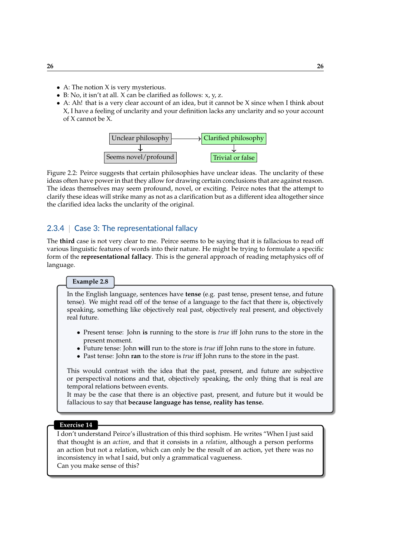- A: The notion X is very mysterious.
- B: No, it isn't at all.  $X$  can be clarified as follows:  $x, y, z$ .
- A: Ah! that is a very clear account of an idea, but it cannot be X since when I think about X, I have a feeling of unclarity and your definition lacks any unclarity and so your account of X cannot be X.

| Unclear philosophy   | $\rightarrow$ Clarified philosophy |                  |  |
|----------------------|------------------------------------|------------------|--|
|                      |                                    |                  |  |
| Seems novel/profound |                                    | Trivial or false |  |

Figure 2.2: Peirce suggests that certain philosophies have unclear ideas. The unclarity of these ideas often have power in that they allow for drawing certain conclusions that are against reason. The ideas themselves may seem profound, novel, or exciting. Peirce notes that the attempt to clarify these ideas will strike many as not as a clarification but as a different idea altogether since the clarified idea lacks the unclarity of the original.

## 2.3.4 | Case 3: The representational fallacy

The **third** case is not very clear to me. Peirce seems to be saying that it is fallacious to read off various linguistic features of words into their nature. He might be trying to formulate a specific form of the **representational fallacy**. This is the general approach of reading metaphysics off of language.

## **Example 2.8**

In the English language, sentences have **tense** (e.g. past tense, present tense, and future tense). We might read off of the tense of a language to the fact that there is, objectively speaking, something like objectively real past, objectively real present, and objectively real future.

- Present tense: John **is** running to the store is *true* iff John runs to the store in the present moment.
- Future tense: John **will** run to the store is *true* iff John runs to the store in future.
- Past tense: John **ran** to the store is *true* iff John runs to the store in the past.

This would contrast with the idea that the past, present, and future are subjective or perspectival notions and that, objectively speaking, the only thing that is real are temporal relations between events.

It may be the case that there is an objective past, present, and future but it would be fallacious to say that **because language has tense, reality has tense.**

### **Exercise 14**

I don't understand Peirce's illustration of this third sophism. He writes "When I just said that thought is an *action*, and that it consists in a *relation*, although a person performs an action but not a relation, which can only be the result of an action, yet there was no inconsistency in what I said, but only a grammatical vagueness. Can you make sense of this?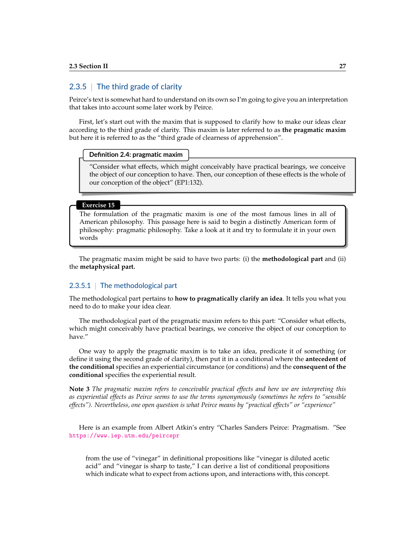## 2.3.5 | The third grade of clarity

Peirce's text is somewhat hard to understand on its own so I'm going to give you an interpretation that takes into account some later work by Peirce.

First, let's start out with the maxim that is supposed to clarify how to make our ideas clear according to the third grade of clarity. This maxim is later referred to as **the pragmatic maxim** but here it is referred to as the "third grade of clearness of apprehension".

#### **Definition 2.4: pragmatic maxim**

"Consider what effects, which might conceivably have practical bearings, we conceive the object of our conception to have. Then, our conception of these effects is the whole of our conception of the object" (EP1:132).

#### **Exercise 15**

The formulation of the pragmatic maxim is one of the most famous lines in all of American philosophy. This passage here is said to begin a distinctly American form of philosophy: pragmatic philosophy. Take a look at it and try to formulate it in your own words

The pragmatic maxim might be said to have two parts: (i) the **methodological part** and (ii) the **metaphysical part.**

## 2.3.5.1 | The methodological part

The methodological part pertains to **how to pragmatically clarify an idea**. It tells you what you need to do to make your idea clear.

The methodological part of the pragmatic maxim refers to this part: "Consider what effects, which might conceivably have practical bearings, we conceive the object of our conception to have."

One way to apply the pragmatic maxim is to take an idea, predicate it of something (or define it using the second grade of clarity), then put it in a conditional where the **antecedent of the conditional** specifies an experiential circumstance (or conditions) and the **consequent of the conditional** specifies the experiential result.

**Note 3** *The pragmatic maxim refers to conceivable practical effects and here we are interpreting this as experiential effects as Peirce seems to use the terms synonymously (sometimes he refers to "sensible effects"). Nevertheless, one open question is what Peirce means by "practical effects" or "experience"*

Here is an example from Albert Atkin's entry "Charles Sanders Peirce: Pragmatism. "See <https://www.iep.utm.edu/peircepr>

from the use of "vinegar" in definitional propositions like "vinegar is diluted acetic acid" and "vinegar is sharp to taste," I can derive a list of conditional propositions which indicate what to expect from actions upon, and interactions with, this concept.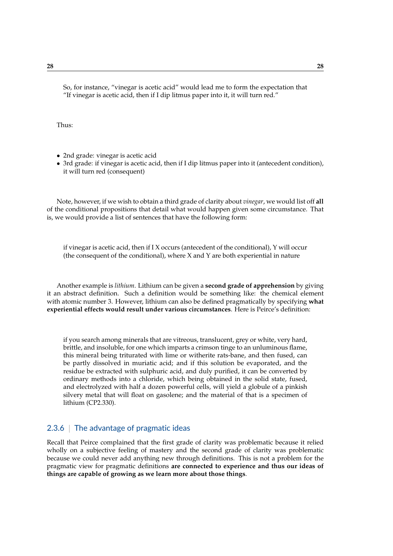So, for instance, "vinegar is acetic acid" would lead me to form the expectation that "If vinegar is acetic acid, then if I dip litmus paper into it, it will turn red."

Thus:

- 2nd grade: vinegar is acetic acid
- 3rd grade: if vinegar is acetic acid, then if I dip litmus paper into it (antecedent condition), it will turn red (consequent)

Note, however, if we wish to obtain a third grade of clarity about *vinegar*, we would list off **all** of the conditional propositions that detail what would happen given some circumstance. That is, we would provide a list of sentences that have the following form:

if vinegar is acetic acid, then if I X occurs (antecedent of the conditional),  $Y$  will occur (the consequent of the conditional), where X and Y are both experiential in nature

Another example is *lithium*. Lithium can be given a **second grade of apprehension** by giving it an abstract definition. Such a definition would be something like: the chemical element with atomic number 3. However, lithium can also be defined pragmatically by specifying **what experiential effects would result under various circumstances**. Here is Peirce's definition:

if you search among minerals that are vitreous, translucent, grey or white, very hard, brittle, and insoluble, for one which imparts a crimson tinge to an unluminous flame, this mineral being triturated with lime or witherite rats-bane, and then fused, can be partly dissolved in muriatic acid; and if this solution be evaporated, and the residue be extracted with sulphuric acid, and duly purified, it can be converted by ordinary methods into a chloride, which being obtained in the solid state, fused, and electrolyzed with half a dozen powerful cells, will yield a globule of a pinkish silvery metal that will float on gasolene; and the material of that is a specimen of lithium (CP2.330).

## 2.3.6 | The advantage of pragmatic ideas

Recall that Peirce complained that the first grade of clarity was problematic because it relied wholly on a subjective feeling of mastery and the second grade of clarity was problematic because we could never add anything new through definitions. This is not a problem for the pragmatic view for pragmatic definitions **are connected to experience and thus our ideas of things are capable of growing as we learn more about those things**.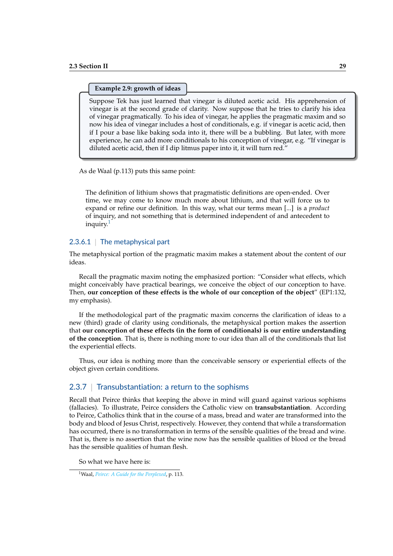#### **Example 2.9: growth of ideas**

Suppose Tek has just learned that vinegar is diluted acetic acid. His apprehension of vinegar is at the second grade of clarity. Now suppose that he tries to clarify his idea of vinegar pragmatically. To his idea of vinegar, he applies the pragmatic maxim and so now his idea of vinegar includes a host of conditionals, e.g. if vinegar is acetic acid, then if I pour a base like baking soda into it, there will be a bubbling. But later, with more experience, he can add more conditionals to his conception of vinegar, e.g. "If vinegar is diluted acetic acid, then if I dip litmus paper into it, it will turn red."

As de Waal (p.113) puts this same point:

The definition of lithium shows that pragmatistic definitions are open-ended. Over time, we may come to know much more about lithium, and that will force us to expand or refine our definition. In this way, what our terms mean [...] is a *product* of inquiry, and not something that is determined independent of and antecedent to inquiry.[1](#page-28-0)

## 2.3.6.1 | The metaphysical part

The metaphysical portion of the pragmatic maxim makes a statement about the content of our ideas.

Recall the pragmatic maxim noting the emphasized portion: "Consider what effects, which might conceivably have practical bearings, we conceive the object of our conception to have. Then, **our conception of these effects is the whole of our conception of the object**" (EP1:132, my emphasis).

If the methodological part of the pragmatic maxim concerns the clarification of ideas to a new (third) grade of clarity using conditionals, the metaphysical portion makes the assertion that **our conception of these effects (in the form of conditionals) is our entire understanding of the conception**. That is, there is nothing more to our idea than all of the conditionals that list the experiential effects.

Thus, our idea is nothing more than the conceivable sensory or experiential effects of the object given certain conditions.

## 2.3.7 | Transubstantiation: a return to the sophisms

Recall that Peirce thinks that keeping the above in mind will guard against various sophisms (fallacies). To illustrate, Peirce considers the Catholic view on **transubstantiation**. According to Peirce, Catholics think that in the course of a mass, bread and water are transformed into the body and blood of Jesus Christ, respectively. However, they contend that while a transformation has occurred, there is no transformation in terms of the sensible qualities of the bread and wine. That is, there is no assertion that the wine now has the sensible qualities of blood or the bread has the sensible qualities of human flesh.

So what we have here is:

<span id="page-28-0"></span><sup>1</sup>Waal, *[Peirce: A Guide for the Perplexed](#page-19-0)*, p. 113.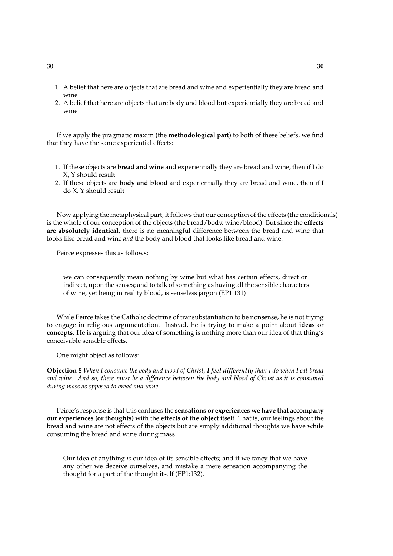- 1. A belief that here are objects that are bread and wine and experientially they are bread and wine
- 2. A belief that here are objects that are body and blood but experientially they are bread and wine

If we apply the pragmatic maxim (the **methodological part**) to both of these beliefs, we find that they have the same experiential effects:

- 1. If these objects are **bread and wine** and experientially they are bread and wine, then if I do X, Y should result
- 2. If these objects are **body and blood** and experientially they are bread and wine, then if I do X, Y should result

Now applying the metaphysical part, it follows that our conception of the effects (the conditionals) is the whole of our conception of the objects (the bread/body, wine/blood). But since the **effects are absolutely identical**, there is no meaningful difference between the bread and wine that looks like bread and wine *and* the body and blood that looks like bread and wine.

Peirce expresses this as follows:

we can consequently mean nothing by wine but what has certain effects, direct or indirect, upon the senses; and to talk of something as having all the sensible characters of wine, yet being in reality blood, is senseless jargon (EP1:131)

While Peirce takes the Catholic doctrine of transubstantiation to be nonsense, he is not trying to engage in religious argumentation. Instead, he is trying to make a point about **ideas** or **concepts**. He is arguing that our idea of something is nothing more than our idea of that thing's conceivable sensible effects.

One might object as follows:

**Objection 8** *When I consume the body and blood of Christ, I feel differently than I do when I eat bread and wine. And so, there must be a difference between the body and blood of Christ as it is consumed during mass as opposed to bread and wine.*

Peirce's response is that this confuses the **sensations or experiences we have that accompany our experiences (or thoughts)** with the **effects of the object** itself. That is, our feelings about the bread and wine are not effects of the objects but are simply additional thoughts we have while consuming the bread and wine during mass.

Our idea of anything *is* our idea of its sensible effects; and if we fancy that we have any other we deceive ourselves, and mistake a mere sensation accompanying the thought for a part of the thought itself (EP1:132).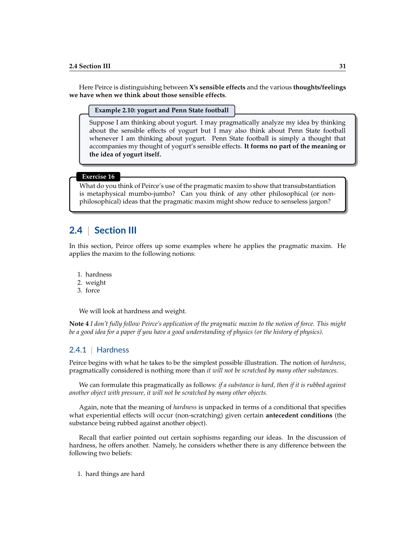Here Peirce is distinguishing between **X's sensible effects** and the various **thoughts/feelings we have when we think about those sensible effects**.

#### **Example 2.10: yogurt and Penn State football**

Suppose I am thinking about yogurt. I may pragmatically analyze my idea by thinking about the sensible effects of yogurt but I may also think about Penn State football whenever I am thinking about yogurt. Penn State football is simply a thought that accompanies my thought of yogurt's sensible effects. **It forms no part of the meaning or the idea of yogurt itself.**

#### **Exercise 16**

What do you think of Peirce's use of the pragmatic maxim to show that transubstantiation is metaphysical mumbo-jumbo? Can you think of any other philosophical (or nonphilosophical) ideas that the pragmatic maxim might show reduce to senseless jargon?

# **2.4** | **Section III**

In this section, Peirce offers up some examples where he applies the pragmatic maxim. He applies the maxim to the following notions:

- 1. hardness
- 2. weight
- 3. force

We will look at hardness and weight.

**Note 4** *I don't fully follow Peirce's application of the pragmatic maxim to the notion of force. This might be a good idea for a paper if you have a good understanding of physics (or the history of physics).*

## 2.4.1 | Hardness

Peirce begins with what he takes to be the simplest possible illustration. The notion of *hardness*, pragmatically considered is nothing more than *it will not be scratched by many other substances*.

We can formulate this pragmatically as follows: *if a substance is hard, then if it is rubbed against another object with pressure, it will not be scratched by many other objects.*

Again, note that the meaning of *hardness* is unpacked in terms of a conditional that specifies what experiential effects will occur (non-scratching) given certain **antecedent conditions** (the substance being rubbed against another object).

Recall that earlier pointed out certain sophisms regarding our ideas. In the discussion of hardness, he offers another. Namely, he considers whether there is any difference between the following two beliefs:

1. hard things are hard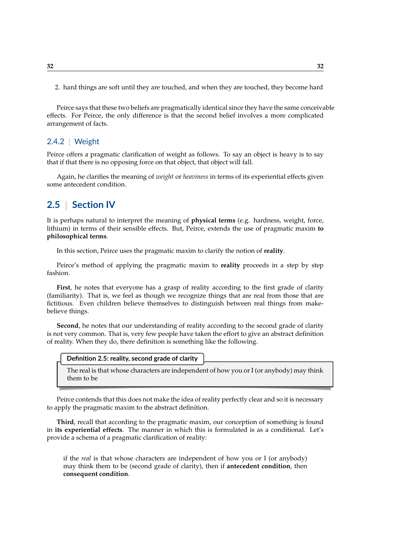2. hard things are soft until they are touched, and when they are touched, they become hard

Peirce says that these two beliefs are pragmatically identical since they have the same conceivable effects. For Peirce, the only difference is that the second belief involves a more complicated arrangement of facts.

## 2.4.2 | Weight

Peirce offers a pragmatic clarification of weight as follows. To say an object is heavy is to say that if that there is no opposing force on that object, that object will fall.

Again, he clarifies the meaning of *weight* or *heaviness* in terms of its experiential effects given some antecedent condition.

# **2.5** | **Section IV**

It is perhaps natural to interpret the meaning of **physical terms** (e.g. hardness, weight, force, lithium) in terms of their sensible effects. But, Peirce, extends the use of pragmatic maxim **to philosophical terms**.

In this section, Peirce uses the pragmatic maxim to clarify the notion of **reality**.

Peirce's method of applying the pragmatic maxim to **reality** proceeds in a step by step fashion.

**First**, he notes that everyone has a grasp of reality according to the first grade of clarity (familiarity). That is, we feel as though we recognize things that are real from those that are fictitious. Even children believe themselves to distinguish between real things from makebelieve things.

**Second**, he notes that our understanding of reality according to the second grade of clarity is not very common. That is, very few people have taken the effort to give an abstract definition of reality. When they do, there definition is something like the following.

The real is that whose characters are independent of how you or I (or anybody) may think them to be

Peirce contends that this does not make the idea of reality perfectly clear and so it is necessary to apply the pragmatic maxim to the abstract definition.

**Third**, recall that according to the pragmatic maxim, our conception of something is found in **its experiential effects**. The manner in which this is formulated is as a conditional. Let's provide a schema of a pragmatic clarification of reality:

if the *real* is that whose characters are independent of how you or I (or anybody) may think them to be (second grade of clarity), then if **antecedent condition**, then **consequent condition**.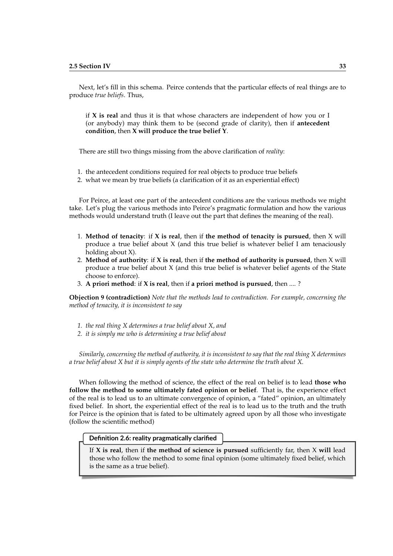Next, let's fill in this schema. Peirce contends that the particular effects of real things are to produce *true beliefs*. Thus,

if **X is real** and thus it is that whose characters are independent of how you or I (or anybody) may think them to be (second grade of clarity), then if **antecedent condition**, then **X will produce the true belief Y**.

There are still two things missing from the above clarification of *reality*:

- 1. the antecedent conditions required for real objects to produce true beliefs
- 2. what we mean by true beliefs (a clarification of it as an experiential effect)

For Peirce, at least one part of the antecedent conditions are the various methods we might take. Let's plug the various methods into Peirce's pragmatic formulation and how the various methods would understand truth (I leave out the part that defines the meaning of the real).

- 1. **Method of tenacity**: if **X is real**, then if **the method of tenacity is pursued**, then X will produce a true belief about X (and this true belief is whatever belief I am tenaciously holding about X).
- 2. **Method of authority**: if **X is real**, then if **the method of authority is pursued**, then X will produce a true belief about X (and this true belief is whatever belief agents of the State choose to enforce).
- 3. **A priori method**: if **X is real**, then if **a priori method is pursued**, then .... ?

**Objection 9 (contradiction)** *Note that the methods lead to contradiction. For example, concerning the method of tenacity, it is inconsistent to say*

- *1. the real thing X determines a true belief about X, and*
- *2. it is simply me who is determining a true belief about*

*Similarly, concerning the method of authority, it is inconsistent to say that the real thing X determines a true belief about X but it is simply agents of the state who determine the truth about X.*

When following the method of science, the effect of the real on belief is to lead **those who follow the method to some ultimately fated opinion or belief**. That is, the experience effect of the real is to lead us to an ultimate convergence of opinion, a "fated" opinion, an ultimately fixed belief. In short, the experiential effect of the real is to lead us to the truth and the truth for Peirce is the opinion that is fated to be ultimately agreed upon by all those who investigate (follow the scientific method)

#### **Definition 2.6: reality pragmatically clarified**

If **X is real**, then if **the method of science is pursued** sufficiently far, then X **will** lead those who follow the method to some final opinion (some ultimately fixed belief, which is the same as a true belief).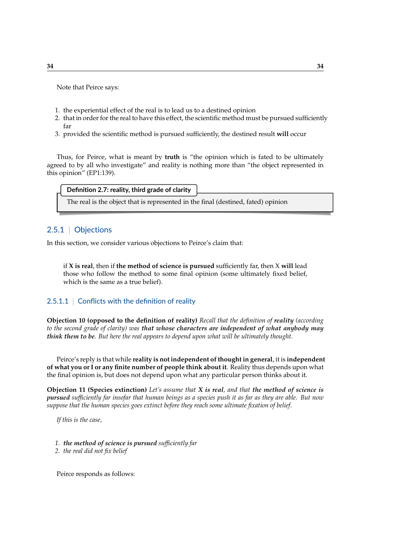Note that Peirce says:

- 1. the experiential effect of the real is to lead us to a destined opinion
- 2. that in order for the real to have this effect, the scientific method must be pursued sufficiently far
- 3. provided the scientific method is pursued sufficiently, the destined result **will** occur

Thus, for Peirce, what is meant by **truth** is "the opinion which is fated to be ultimately agreed to by all who investigate" and reality is nothing more than "the object represented in this opinion" (EP1:139).

#### **Definition 2.7: reality, third grade of clarity**

The real is the object that is represented in the final (destined, fated) opinion

## 2.5.1 | Objections

In this section, we consider various objections to Peirce's claim that:

if **X is real**, then if **the method of science is pursued** sufficiently far, then X **will** lead those who follow the method to some final opinion (some ultimately fixed belief, which is the same as a true belief).

## 2.5.1.1 | Conflicts with the definition of reality

**Objection 10 (opposed to the definition of reality)** *Recall that the definition of reality (according to the second grade of clarity) was that whose characters are independent of what anybody may think them to be. But here the real appears to depend upon what will be ultimately thought.*

Peirce's reply is that while **reality is not independent of thought in general**, it is **independent of what you or I or any finite number of people think about it**. Reality thus depends upon what the final opinion is, but does not depend upon what any particular person thinks about it.

**Objection 11 (Species extinction)** *Let's assume that X is real, and that the method of science is pursued sufficiently far insofar that human beings as a species push it as far as they are able. But now suppose that the human species goes extinct before they reach some ultimate fixation of belief.*

*If this is the case,*

- *1. the method of science is pursued sufficiently far*
- *2. the real did not fix belief*

Peirce responds as follows: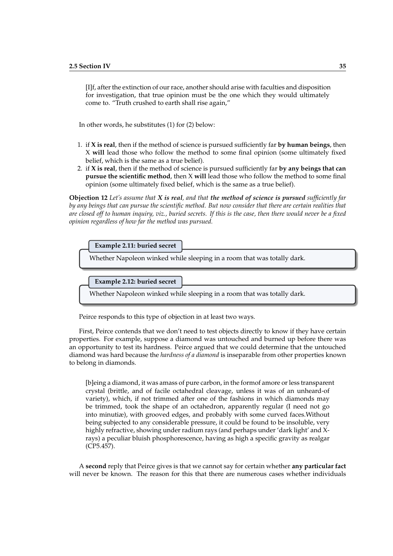[I]f, after the extinction of our race, another should arise with faculties and disposition for investigation, that true opinion must be the one which they would ultimately come to. "Truth crushed to earth shall rise again,"

In other words, he substitutes (1) for (2) below:

- 1. if **X is real**, then if the method of science is pursued sufficiently far **by human beings**, then X **will** lead those who follow the method to some final opinion (some ultimately fixed belief, which is the same as a true belief).
- 2. if **X is real**, then if the method of science is pursued sufficiently far **by any beings that can pursue the scientific method**, then X **will** lead those who follow the method to some final opinion (some ultimately fixed belief, which is the same as a true belief).

**Objection 12** *Let's assume that X is real, and that the method of science is pursued sufficiently far by any beings that can pursue the scientific method. But now consider that there are certain realities that are closed off to human inquiry, viz., buried secrets. If this is the case, then there would never be a fixed opinion regardless of how far the method was pursued.*



Peirce responds to this type of objection in at least two ways.

First, Peirce contends that we don't need to test objects directly to know if they have certain properties. For example, suppose a diamond was untouched and burned up before there was an opportunity to test its hardness. Peirce argued that we could determine that the untouched diamond was hard because the *hardness of a diamond* is inseparable from other properties known to belong in diamonds.

[b]eing a diamond, it was amass of pure carbon, in the formof amore or less transparent crystal (brittle, and of facile octahedral cleavage, unless it was of an unheard-of variety), which, if not trimmed after one of the fashions in which diamonds may be trimmed, took the shape of an octahedron, apparently regular (I need not go into minutiæ), with grooved edges, and probably with some curved faces.Without being subjected to any considerable pressure, it could be found to be insoluble, very highly refractive, showing under radium rays (and perhaps under 'dark light' and Xrays) a peculiar bluish phosphorescence, having as high a specific gravity as realgar (CP5.457).

A **second** reply that Peirce gives is that we cannot say for certain whether **any particular fact** will never be known. The reason for this that there are numerous cases whether individuals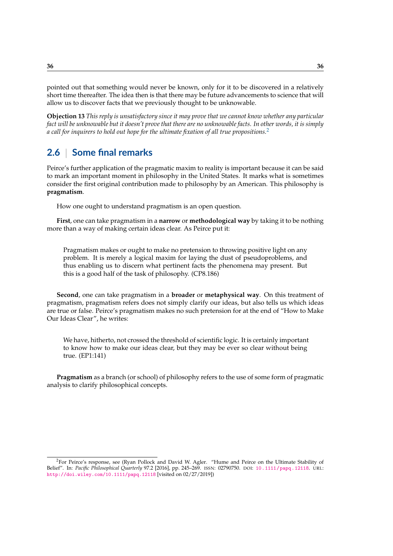pointed out that something would never be known, only for it to be discovered in a relatively short time thereafter. The idea then is that there may be future advancements to science that will allow us to discover facts that we previously thought to be unknowable.

**Objection 13** *This reply is unsatisfactory since it may prove that we cannot know whether any particular fact will be unknowable but it doesn't prove that there are no unknowable facts. In other words, it is simply a call for inquirers to hold out hope for the ultimate fixation of all true propositions.*[2](#page-35-0)

# **2.6** | **Some final remarks**

Peirce's further application of the pragmatic maxim to reality is important because it can be said to mark an important moment in philosophy in the United States. It marks what is sometimes consider the first original contribution made to philosophy by an American. This philosophy is **pragmatism**.

How one ought to understand pragmatism is an open question.

**First**, one can take pragmatism in a **narrow** or **methodological way** by taking it to be nothing more than a way of making certain ideas clear. As Peirce put it:

Pragmatism makes or ought to make no pretension to throwing positive light on any problem. It is merely a logical maxim for laying the dust of pseudoproblems, and thus enabling us to discern what pertinent facts the phenomena may present. But this is a good half of the task of philosophy. (CP8.186)

**Second**, one can take pragmatism in a **broader** or **metaphysical way**. On this treatment of pragmatism, pragmatism refers does not simply clarify our ideas, but also tells us which ideas are true or false. Peirce's pragmatism makes no such pretension for at the end of "How to Make Our Ideas Clear", he writes:

We have, hitherto, not crossed the threshold of scientific logic. It is certainly important to know how to make our ideas clear, but they may be ever so clear without being true. (EP1:141)

**Pragmatism** as a branch (or school) of philosophy refers to the use of some form of pragmatic analysis to clarify philosophical concepts.

<span id="page-35-0"></span><sup>2</sup>For Peirce's response, see (Ryan Pollock and David W. Agler. "Hume and Peirce on the Ultimate Stability of Belief". In: *Pacific Philosophical Quarterly* 97.2 [2016], pp. 245–269. ISSN: 02790750. DOI: [10.1111/papq.12118](https://doi.org/10.1111/papq.12118). URL: <http://doi.wiley.com/10.1111/papq.12118> [visited on 02/27/2019])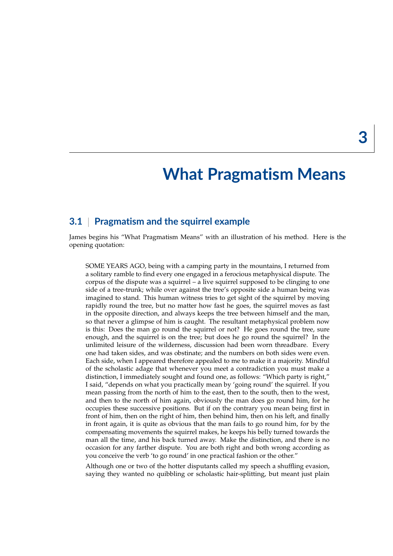# **What Pragmatism Means**

# **3.1** | **Pragmatism and the squirrel example**

James begins his "What Pragmatism Means" with an illustration of his method. Here is the opening quotation:

SOME YEARS AGO, being with a camping party in the mountains, I returned from a solitary ramble to find every one engaged in a ferocious metaphysical dispute. The corpus of the dispute was a squirrel – a live squirrel supposed to be clinging to one side of a tree-trunk; while over against the tree's opposite side a human being was imagined to stand. This human witness tries to get sight of the squirrel by moving rapidly round the tree, but no matter how fast he goes, the squirrel moves as fast in the opposite direction, and always keeps the tree between himself and the man, so that never a glimpse of him is caught. The resultant metaphysical problem now is this: Does the man go round the squirrel or not? He goes round the tree, sure enough, and the squirrel is on the tree; but does he go round the squirrel? In the unlimited leisure of the wilderness, discussion had been worn threadbare. Every one had taken sides, and was obstinate; and the numbers on both sides were even. Each side, when I appeared therefore appealed to me to make it a majority. Mindful of the scholastic adage that whenever you meet a contradiction you must make a distinction, I immediately sought and found one, as follows: "Which party is right," I said, "depends on what you practically mean by 'going round' the squirrel. If you mean passing from the north of him to the east, then to the south, then to the west, and then to the north of him again, obviously the man does go round him, for he occupies these successive positions. But if on the contrary you mean being first in front of him, then on the right of him, then behind him, then on his left, and finally in front again, it is quite as obvious that the man fails to go round him, for by the compensating movements the squirrel makes, he keeps his belly turned towards the man all the time, and his back turned away. Make the distinction, and there is no occasion for any farther dispute. You are both right and both wrong according as you conceive the verb 'to go round' in one practical fashion or the other."

Although one or two of the hotter disputants called my speech a shuffling evasion, saying they wanted no quibbling or scholastic hair-splitting, but meant just plain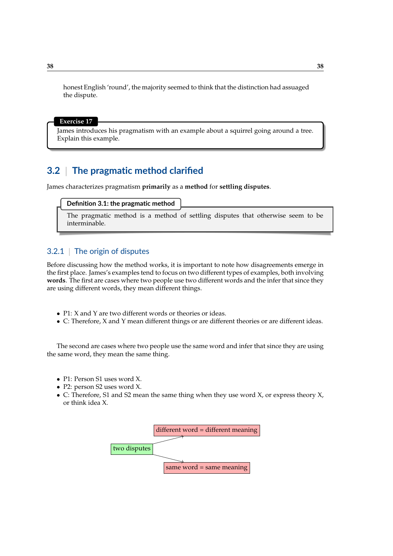honest English 'round', the majority seemed to think that the distinction had assuaged the dispute.

#### **Exercise 17**

James introduces his pragmatism with an example about a squirrel going around a tree. Explain this example.

# **3.2** | **The pragmatic method clarified**

James characterizes pragmatism **primarily** as a **method** for **settling disputes**.

#### **Definition 3.1: the pragmatic method**

The pragmatic method is a method of settling disputes that otherwise seem to be interminable.

## 3.2.1 | The origin of disputes

Before discussing how the method works, it is important to note how disagreements emerge in the first place. James's examples tend to focus on two different types of examples, both involving **words**. The first are cases where two people use two different words and the infer that since they are using different words, they mean different things.

- P1: X and Y are two different words or theories or ideas.
- C: Therefore, X and Y mean different things or are different theories or are different ideas.

The second are cases where two people use the same word and infer that since they are using the same word, they mean the same thing.

- P1: Person S1 uses word X.
- P2: person S2 uses word X.
- C: Therefore, S1 and S2 mean the same thing when they use word X, or express theory X, or think idea X.

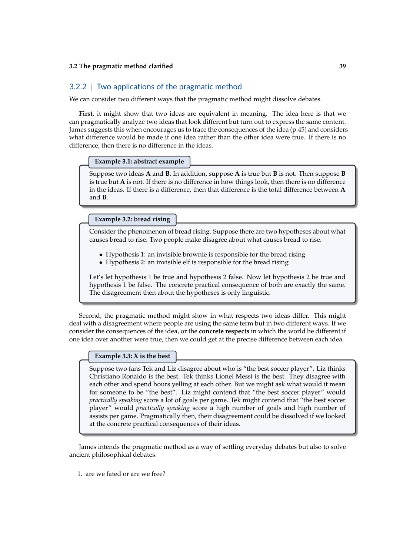## 3.2.2 | Two applications of the pragmatic method

We can consider two different ways that the pragmatic method might dissolve debates.

**First**, it might show that two ideas are equivalent in meaning. The idea here is that we can pragmatically analyze two ideas that look different but turn out to express the same content. James suggests this when encourages us to trace the consequences of the idea (p.45) and considers what difference would be made if one idea rather than the other idea were true. If there is no difference, then there is no difference in the ideas.

### **Example 3.1: abstract example**

Suppose two ideas **A** and **B**. In addition, suppose **A** is true but **B** is not. Then suppose **B** is true but **A** is not. If there is no difference in how things look, then there is no difference in the ideas. If there is a difference, then that difference is the total difference between **A** and **B**.

**Example 3.2: bread rising**

Consider the phenomenon of bread rising. Suppose there are two hypotheses about what causes bread to rise. Two people make disagree about what causes bread to rise.

- Hypothesis 1: an invisible brownie is responsible for the bread rising
- Hypothesis 2: an invisible elf is responsible for the bread rising

Let's let hypothesis 1 be true and hypothesis 2 false. Now let hypothesis 2 be true and hypothesis 1 be false. The concrete practical consequence of both are exactly the same. The disagreement then about the hypotheses is only linguistic.

Second, the pragmatic method might show in what respects two ideas differ. This might deal with a disagreement where people are using the same term but in two different ways. If we consider the consequences of the idea, or the **concrete respects** in which the world be different if one idea over another were true, then we could get at the precise difference between each idea.

#### **Example 3.3: X is the best**

Suppose two fans Tek and Liz disagree about who is "the best soccer player". Liz thinks Christiano Ronaldo is the best. Tek thinks Lionel Messi is the best. They disagree with each other and spend hours yelling at each other. But we might ask what would it mean for someone to be "the best". Liz might contend that "the best soccer player" would *practically speaking* score a lot of goals per game. Tek might contend that "the best soccer player" would *practically speaking* score a high number of goals and high number of assists per game. Pragmatically then, their disagreement could be dissolved if we looked at the concrete practical consequences of their ideas.

James intends the pragmatic method as a way of settling everyday debates but also to solve ancient philosophical debates.

1. are we fated or are we free?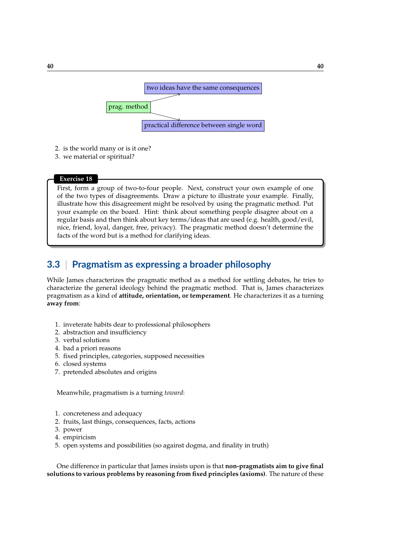

- 2. is the world many or is it one?
- 3. we material or spiritual?

### **Exercise 18**

First, form a group of two-to-four people. Next, construct your own example of one of the two types of disagreements. Draw a picture to illustrate your example. Finally, illustrate how this disagreement might be resolved by using the pragmatic method. Put your example on the board. Hint: think about something people disagree about on a regular basis and then think about key terms/ideas that are used (e.g. health, good/evil, nice, friend, loyal, danger, free, privacy). The pragmatic method doesn't determine the facts of the word but is a method for clarifying ideas.

# **3.3** | **Pragmatism as expressing a broader philosophy**

While James characterizes the pragmatic method as a method for settling debates, he tries to characterize the general ideology behind the pragmatic method. That is, James characterizes pragmatism as a kind of **attitude, orientation, or temperament**. He characterizes it as a turning **away from**:

- 1. inveterate habits dear to professional philosophers
- 2. abstraction and insufficiency
- 3. verbal solutions
- 4. bad a priori reasons
- 5. fixed principles, categories, supposed necessities
- 6. closed systems
- 7. pretended absolutes and origins

Meanwhile, pragmatism is a turning *toward*:

- 1. concreteness and adequacy
- 2. fruits, last things, consequences, facts, actions
- 3. power
- 4. empiricism
- 5. open systems and possibilities (so against dogma, and finality in truth)

One difference in particular that James insists upon is that **non-pragmatists aim to give final solutions to various problems by reasoning from fixed principles (axioms)**. The nature of these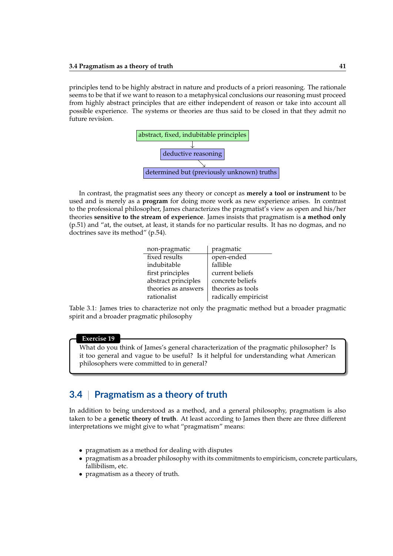principles tend to be highly abstract in nature and products of a priori reasoning. The rationale seems to be that if we want to reason to a metaphysical conclusions our reasoning must proceed from highly abstract principles that are either independent of reason or take into account all possible experience. The systems or theories are thus said to be closed in that they admit no future revision.



In contrast, the pragmatist sees any theory or concept as **merely a tool or instrument** to be used and is merely as a **program** for doing more work as new experience arises. In contrast to the professional philosopher, James characterizes the pragmatist's view as open and his/her theories **sensitive to the stream of experience**. James insists that pragmatism is **a method only** (p.51) and "at, the outset, at least, it stands for no particular results. It has no dogmas, and no doctrines save its method" (p.54).

| non-pragmatic       | pragmatic            |
|---------------------|----------------------|
| fixed results       | open-ended           |
| indubitable         | fallible             |
| first principles    | current beliefs      |
| abstract principles | concrete beliefs     |
| theories as answers | theories as tools    |
| rationalist         | radically empiricist |

Table 3.1: James tries to characterize not only the pragmatic method but a broader pragmatic spirit and a broader pragmatic philosophy

#### **Exercise 19**

What do you think of James's general characterization of the pragmatic philosopher? Is it too general and vague to be useful? Is it helpful for understanding what American philosophers were committed to in general?

# **3.4** | **Pragmatism as a theory of truth**

In addition to being understood as a method, and a general philosophy, pragmatism is also taken to be a **genetic theory of truth**. At least according to James then there are three different interpretations we might give to what "pragmatism" means:

- pragmatism as a method for dealing with disputes
- pragmatism as a broader philosophy with its commitments to empiricism, concrete particulars, fallibilism, etc.
- pragmatism as a theory of truth.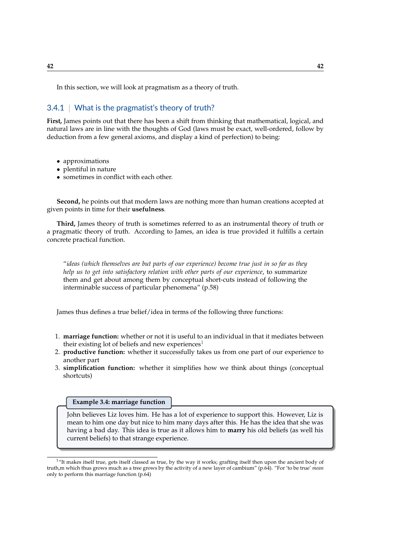In this section, we will look at pragmatism as a theory of truth.

## 3.4.1 | What is the pragmatist's theory of truth?

**First,** James points out that there has been a shift from thinking that mathematical, logical, and natural laws are in line with the thoughts of God (laws must be exact, well-ordered, follow by deduction from a few general axioms, and display a kind of perfection) to being:

- approximations
- plentiful in nature
- sometimes in conflict with each other.

**Second,** he points out that modern laws are nothing more than human creations accepted at given points in time for their **usefulness**.

**Third,** James theory of truth is sometimes referred to as an instrumental theory of truth or a pragmatic theory of truth. According to James, an idea is true provided it fulfills a certain concrete practical function.

"*ideas (which themselves are but parts of our experience) become true just in so far as they help us to get into satisfactory relation with other parts of our experience*, to summarize them and get about among them by conceptual short-cuts instead of following the interminable success of particular phenomena" (p.58)

James thus defines a true belief/idea in terms of the following three functions:

- 1. **marriage function:** whether or not it is useful to an individual in that it mediates between their existing lot of beliefs and new experiences<sup>[1](#page-41-0)</sup>
- 2. **productive function:** whether it successfully takes us from one part of our experience to another part
- 3. **simplification function:** whether it simplifies how we think about things (conceptual shortcuts)

## **Example 3.4: marriage function**

John believes Liz loves him. He has a lot of experience to support this. However, Liz is mean to him one day but nice to him many days after this. He has the idea that she was having a bad day. This idea is true as it allows him to **marry** his old beliefs (as well his current beliefs) to that strange experience.

<span id="page-41-0"></span><sup>&</sup>lt;sup>1</sup>"It makes itself true, gets itself classed as true, by the way it works; grafting itself then upon the ancient body of truth,m which thus grows much as a tree grows by the activity of a new layer of cambium" (p.64). "For 'to be true' *mean* only to perform this marriage function (p.64)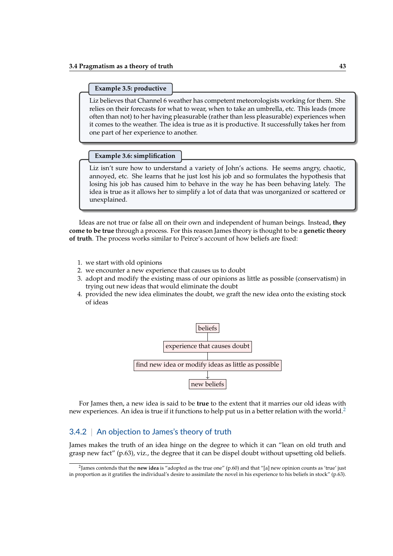#### **Example 3.5: productive**

Liz believes that Channel 6 weather has competent meteorologists working for them. She relies on their forecasts for what to wear, when to take an umbrella, etc. This leads (more often than not) to her having pleasurable (rather than less pleasurable) experiences when it comes to the weather. The idea is true as it is productive. It successfully takes her from one part of her experience to another.

### **Example 3.6: simplification**

Liz isn't sure how to understand a variety of John's actions. He seems angry, chaotic, annoyed, etc. She learns that he just lost his job and so formulates the hypothesis that losing his job has caused him to behave in the way he has been behaving lately. The idea is true as it allows her to simplify a lot of data that was unorganized or scattered or unexplained.

Ideas are not true or false all on their own and independent of human beings. Instead, **they come to be true** through a process. For this reason James theory is thought to be a **genetic theory of truth**. The process works similar to Peirce's account of how beliefs are fixed:

- 1. we start with old opinions
- 2. we encounter a new experience that causes us to doubt
- 3. adopt and modify the existing mass of our opinions as little as possible (conservatism) in trying out new ideas that would eliminate the doubt
- 4. provided the new idea eliminates the doubt, we graft the new idea onto the existing stock of ideas



For James then, a new idea is said to be **true** to the extent that it marries our old ideas with new experiences. An idea is true if it functions to help put us in a better relation with the world.<sup>[2](#page-42-0)</sup>

## 3.4.2 | An objection to James's theory of truth

James makes the truth of an idea hinge on the degree to which it can "lean on old truth and grasp new fact" (p.63), viz., the degree that it can be dispel doubt without upsetting old beliefs.

<span id="page-42-0"></span><sup>2</sup> James contends that the **new idea** is "adopted as the true one" (p.60) and that "[a] new opinion counts as 'true' just in proportion as it gratifies the individual's desire to assimilate the novel in his experience to his beliefs in stock" (p.63).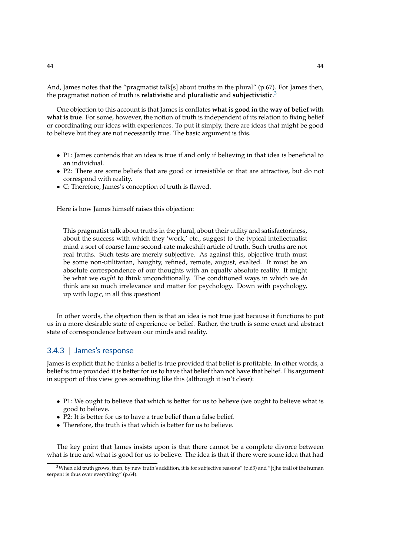And, James notes that the "pragmatist talk[s] about truths in the plural" (p.67). For James then, the pragmatist notion of truth is **relativistic** and **pluralistic** and **subjectivistic**. [3](#page-43-0)

One objection to this account is that James is conflates **what is good in the way of belief** with **what is true**. For some, however, the notion of truth is independent of its relation to fixing belief or coordinating our ideas with experiences. To put it simply, there are ideas that might be good to believe but they are not necessarily true. The basic argument is this.

- P1: James contends that an idea is true if and only if believing in that idea is beneficial to an individual.
- P2: There are some beliefs that are good or irresistible or that are attractive, but do not correspond with reality.
- C: Therefore, James's conception of truth is flawed.

Here is how James himself raises this objection:

This pragmatist talk about truths in the plural, about their utility and satisfactoriness, about the success with which they 'work,' etc., suggest to the typical intellectualist mind a sort of coarse lame second-rate makeshift article of truth. Such truths are not real truths. Such tests are merely subjective. As against this, objective truth must be some non-utilitarian, haughty, refined, remote, august, exalted. It must be an absolute correspondence of our thoughts with an equally absolute reality. It might be what we *ought* to think unconditionally. The conditioned ways in which we *do* think are so much irrelevance and matter for psychology. Down with psychology, up with logic, in all this question!

In other words, the objection then is that an idea is not true just because it functions to put us in a more desirable state of experience or belief. Rather, the truth is some exact and abstract state of correspondence between our minds and reality.

## 3.4.3 | James's response

James is explicit that he thinks a belief is true provided that belief is profitable. In other words, a belief is true provided it is better for us to have that belief than not have that belief. His argument in support of this view goes something like this (although it isn't clear):

- P1: We ought to believe that which is better for us to believe (we ought to believe what is good to believe.
- P2: It is better for us to have a true belief than a false belief.
- Therefore, the truth is that which is better for us to believe.

The key point that James insists upon is that there cannot be a complete divorce between what is true and what is good for us to believe. The idea is that if there were some idea that had

<span id="page-43-0"></span><sup>&</sup>lt;sup>3</sup>When old truth grows, then, by new truth's addition, it is for subjective reasons" (p.63) and "[t]he trail of the human serpent is thus over everything" (p.64).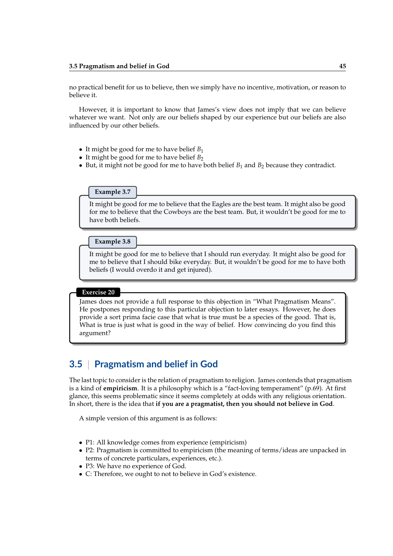no practical benefit for us to believe, then we simply have no incentive, motivation, or reason to believe it.

However, it is important to know that James's view does not imply that we can believe whatever we want. Not only are our beliefs shaped by our experience but our beliefs are also influenced by our other beliefs.

- It might be good for me to have belief *B*<sup>1</sup>
- It might be good for me to have belief  $B_2$
- But, it might not be good for me to have both belief  $B_1$  and  $B_2$  because they contradict.

#### **Example 3.7**

It might be good for me to believe that the Eagles are the best team. It might also be good for me to believe that the Cowboys are the best team. But, it wouldn't be good for me to have both beliefs.

## **Example 3.8**

It might be good for me to believe that I should run everyday. It might also be good for me to believe that I should bike everyday. But, it wouldn't be good for me to have both beliefs (I would overdo it and get injured).

## **Exercise 20**

James does not provide a full response to this objection in "What Pragmatism Means". He postpones responding to this particular objection to later essays. However, he does provide a sort prima facie case that what is true must be a species of the good. That is, What is true is just what is good in the way of belief. How convincing do you find this argument?

# **3.5** | **Pragmatism and belief in God**

The last topic to consider is the relation of pragmatism to religion. James contends that pragmatism is a kind of **empiricism**. It is a philosophy which is a "fact-loving temperament" (p.69). At first glance, this seems problematic since it seems completely at odds with any religious orientation. In short, there is the idea that **if you are a pragmatist, then you should not believe in God**.

A simple version of this argument is as follows:

- P1: All knowledge comes from experience (empiricism)
- P2: Pragmatism is committed to empiricism (the meaning of terms/ideas are unpacked in terms of concrete particulars, experiences, etc.).
- P3: We have no experience of God.
- C: Therefore, we ought to not to believe in God's existence.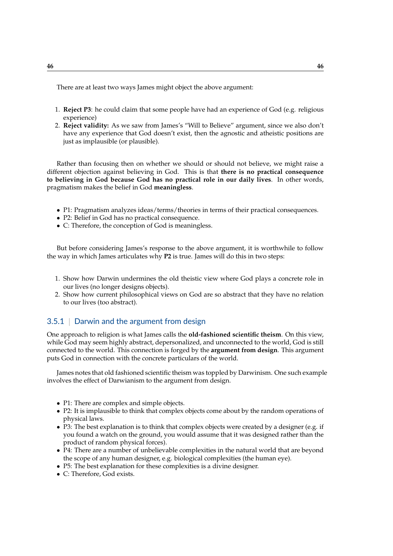There are at least two ways James might object the above argument:

- 1. **Reject P3**: he could claim that some people have had an experience of God (e.g. religious experience)
- 2. **Reject validity:** As we saw from James's "Will to Believe" argument, since we also don't have any experience that God doesn't exist, then the agnostic and atheistic positions are just as implausible (or plausible).

Rather than focusing then on whether we should or should not believe, we might raise a different objection against believing in God. This is that **there is no practical consequence to believing in God because God has no practical role in our daily lives**. In other words, pragmatism makes the belief in God **meaningless**.

- P1: Pragmatism analyzes ideas/terms/theories in terms of their practical consequences.
- P2: Belief in God has no practical consequence.
- C: Therefore, the conception of God is meaningless.

But before considering James's response to the above argument, it is worthwhile to follow the way in which James articulates why **P2** is true. James will do this in two steps:

- 1. Show how Darwin undermines the old theistic view where God plays a concrete role in our lives (no longer designs objects).
- 2. Show how current philosophical views on God are so abstract that they have no relation to our lives (too abstract).

## 3.5.1 | Darwin and the argument from design

One approach to religion is what James calls the **old-fashioned scientific theism**. On this view, while God may seem highly abstract, depersonalized, and unconnected to the world, God is still connected to the world. This connection is forged by the **argument from design**. This argument puts God in connection with the concrete particulars of the world.

James notes that old fashioned scientific theism was toppled by Darwinism. One such example involves the effect of Darwianism to the argument from design.

- P1: There are complex and simple objects.
- P2: It is implausible to think that complex objects come about by the random operations of physical laws.
- P3: The best explanation is to think that complex objects were created by a designer (e.g. if you found a watch on the ground, you would assume that it was designed rather than the product of random physical forces).
- P4: There are a number of unbelievable complexities in the natural world that are beyond the scope of any human designer, e.g. biological complexities (the human eye).
- P5: The best explanation for these complexities is a divine designer.
- C: Therefore, God exists.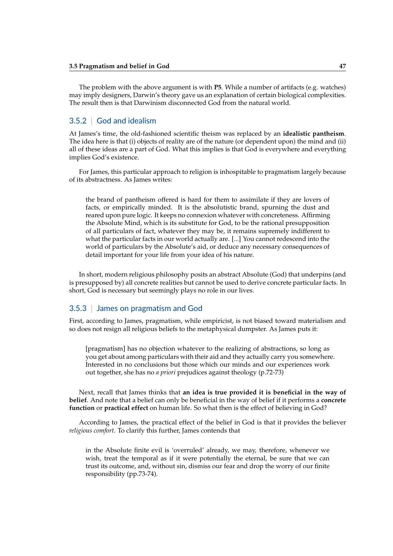The problem with the above argument is with **P5**. While a number of artifacts (e.g. watches) may imply designers, Darwin's theory gave us an explanation of certain biological complexities. The result then is that Darwinism disconnected God from the natural world.

## 3.5.2 | God and idealism

At James's time, the old-fashioned scientific theism was replaced by an **idealistic pantheism**. The idea here is that (i) objects of reality are of the nature (or dependent upon) the mind and (ii) all of these ideas are a part of God. What this implies is that God is everywhere and everything implies God's existence.

For James, this particular approach to religion is inhospitable to pragmatism largely because of its abstractness. As James writes:

the brand of pantheism offered is hard for them to assimilate if they are lovers of facts, or empirically minded. It is the absolutistic brand, spurning the dust and reared upon pure logic. It keeps no connexion whatever with concreteness. Affirming the Absolute Mind, which is its substitute for God, to be the rational presupposition of all particulars of fact, whatever they may be, it remains supremely indifferent to what the particular facts in our world actually are. [...] You cannot redescend into the world of particulars by the Absolute's aid, or deduce any necessary consequences of detail important for your life from your idea of his nature.

In short, modern religious philosophy posits an abstract Absolute (God) that underpins (and is presupposed by) all concrete realities but cannot be used to derive concrete particular facts. In short, God is necessary but seemingly plays no role in our lives.

## 3.5.3 | James on pragmatism and God

First, according to James, pragmatism, while empiricist, is not biased toward materialism and so does not resign all religious beliefs to the metaphysical dumpster. As James puts it:

[pragmatism] has no objection whatever to the realizing of abstractions, so long as you get about among particulars with their aid and they actually carry you somewhere. Interested in no conclusions but those which our minds and our experiences work out together, she has no *a priori* prejudices against theology (p.72-73)

Next, recall that James thinks that **an idea is true provided it is beneficial in the way of belief**. And note that a belief can only be beneficial in the way of belief if it performs a **concrete function** or **practical effect** on human life. So what then is the effect of believing in God?

According to James, the practical effect of the belief in God is that it provides the believer *religious comfort*. To clarify this further, James contends that

in the Absolute finite evil is 'overruled' already, we may, therefore, whenever we wish, treat the temporal as if it were potentially the eternal, be sure that we can trust its outcome, and, without sin, dismiss our fear and drop the worry of our finite responsibility (pp.73-74).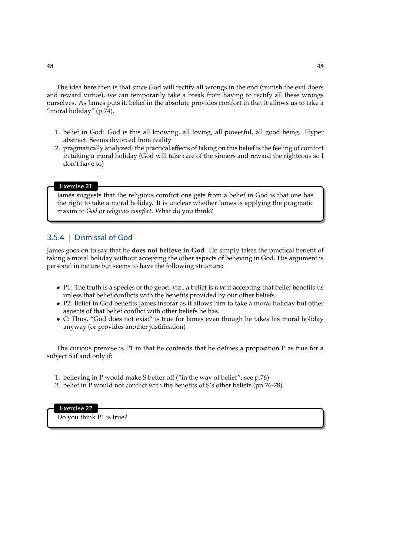The idea here then is that since God will rectify all wrongs in the end (punish the evil doers and reward virtue), we can temporarily take a break from having to rectify all these wrongs ourselves. As James puts it, belief in the absolute provides comfort in that it allows us to take a "moral holiday" (p.74).

- 1. belief in God: God is this all knowing, all loving, all powerful, all good being. Hyper abstract. Seems divorced from reality
- 2. pragmatically analyzed: the practical effects of taking on this belief is the feeling of comfort in taking a moral holiday (God will take care of the sinners and reward the righteous so I don't have to)

### **Exercise 21**

James suggests that the religious comfort one gets from a belief in God is that one has the right to take a moral holiday. It is unclear whether James is applying the pragmatic maxim to *God* or *religious comfort*. What do you think?

## 3.5.4 | Dismissal of God

James goes on to say that he **does not believe in God**. He simply takes the practical benefit of taking a moral holiday without accepting the other aspects of believing in God. His argument is personal in nature but seems to have the following structure:

- P1: The truth is a species of the good, viz., a belief is *true* if accepting that belief benefits us unless that belief conflicts with the benefits provided by our other beliefs
- P2: Belief in God benefits James insofar as it allows him to take a moral holiday but other aspects of that belief conflict with other beliefs he has.
- C: Thus, "God does not exist" is true for James even though he takes his moral holiday anyway (or provides another justification)

The curious premise is P1 in that he contends that he defines a proposition P as true for a subject S if and only if:

- 1. believing in P would make S better off ("in the way of belief", see p.76)
- 2. belief in P would not conflict with the benefits of S's other beliefs (pp.76-78)

# **Exercise 22**

Do you think P1 is true?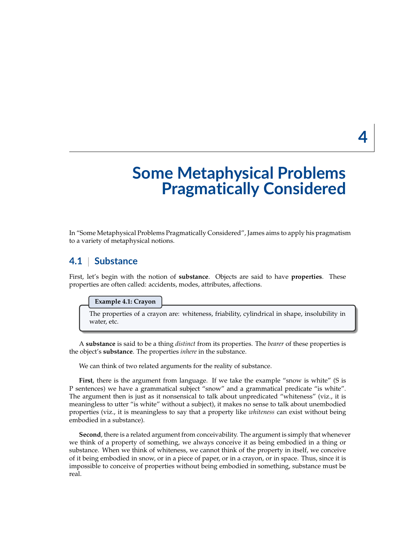# **Some Metaphysical Problems Pragmatically Considered**

In "Some Metaphysical Problems Pragmatically Considered", James aims to apply his pragmatism to a variety of metaphysical notions.

# **4.1** | **Substance**

First, let's begin with the notion of **substance**. Objects are said to have **properties**. These properties are often called: accidents, modes, attributes, affections.

#### **Example 4.1: Crayon**

The properties of a crayon are: whiteness, friability, cylindrical in shape, insolubility in water, etc.

A **substance** is said to be a thing *distinct* from its properties. The *bearer* of these properties is the object's **substance**. The properties *inhere* in the substance.

We can think of two related arguments for the reality of substance.

**First**, there is the argument from language. If we take the example "snow is white" (S is P sentences) we have a grammatical subject "snow" and a grammatical predicate "is white". The argument then is just as it nonsensical to talk about unpredicated "whiteness" (viz., it is meaningless to utter "is white" without a subject), it makes no sense to talk about unembodied properties (viz., it is meaningless to say that a property like *whiteness* can exist without being embodied in a substance).

**Second**, there is a related argument from conceivability. The argument is simply that whenever we think of a property of something, we always conceive it as being embodied in a thing or substance. When we think of whiteness, we cannot think of the property in itself, we conceive of it being embodied in snow, or in a piece of paper, or in a crayon, or in space. Thus, since it is impossible to conceive of properties without being embodied in something, substance must be real.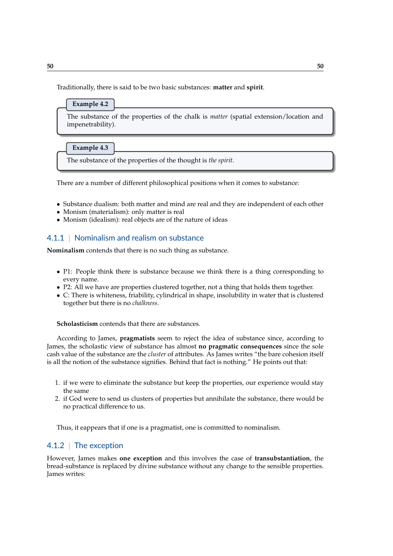Traditionally, there is said to be two basic substances: **matter** and **spirit**.



There are a number of different philosophical positions when it comes to substance:

- Substance dualism: both matter and mind are real and they are independent of each other
- Monism (materialism): only matter is real
- Monism (idealism): real objects are of the nature of ideas

## 4.1.1 | Nominalism and realism on substance

**Nominalism** contends that there is no such thing as substance.

- P1: People think there is substance because we think there is a thing corresponding to every name.
- P2: All we have are properties clustered together, not a thing that holds them together.
- C: There is whiteness, friability, cylindrical in shape, insolubility in water that is clustered together but there is no *chalkness*.

**Scholasticism** contends that there are substances.

According to James, **pragmatists** seem to reject the idea of substance since, according to James, the scholastic view of substance has almost **no pragmatic consequences** since the sole cash value of the substance are the *cluster* of attributes. As James writes "the bare cohesion itself is all the notion of the substance signifies. Behind that fact is nothing." He points out that:

- 1. if we were to eliminate the substance but keep the properties, our experience would stay the same
- 2. if God were to send us clusters of properties but annihilate the substance, there would be no practical difference to us.

Thus, it eappears that if one is a pragmatist, one is committed to nominalism.

## 4.1.2 | The exception

However, James makes **one exception** and this involves the case of **transubstantiation**, the bread-substance is replaced by divine substance without any change to the sensible properties. James writes: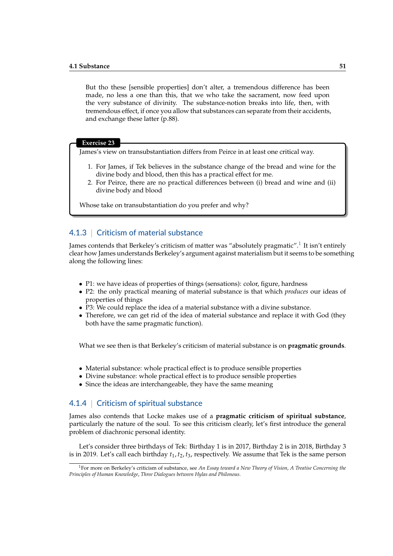But tho these [sensible properties] don't alter, a tremendous difference has been made, no less a one than this, that we who take the sacrament, now feed upon the very substance of divinity. The substance-notion breaks into life, then, with tremendous effect, if once you allow that substances can separate from their accidents, and exchange these latter (p.88).

#### **Exercise 23**

James's view on transubstantiation differs from Peirce in at least one critical way.

- 1. For James, if Tek believes in the substance change of the bread and wine for the divine body and blood, then this has a practical effect for me.
- 2. For Peirce, there are no practical differences between (i) bread and wine and (ii) divine body and blood

Whose take on transubstantiation do you prefer and why?

## 4.1.3 | Criticism of material substance

James contends that Berkeley's criticism of matter was "absolutely pragmatic". $^1$  $^1$  It isn't entirely clear how James understands Berkeley's argument against materialism but it seems to be something along the following lines:

- P1: we have ideas of properties of things (sensations): color, figure, hardness
- P2: the only practical meaning of material substance is that which *produces* our ideas of properties of things
- P3: We could replace the idea of a material substance with a divine substance.
- Therefore, we can get rid of the idea of material substance and replace it with God (they both have the same pragmatic function).

What we see then is that Berkeley's criticism of material substance is on **pragmatic grounds**.

- Material substance: whole practical effect is to produce sensible properties
- Divine substance: whole practical effect is to produce sensible properties
- Since the ideas are interchangeable, they have the same meaning

## 4.1.4 | Criticism of spiritual substance

James also contends that Locke makes use of a **pragmatic criticism of spiritual substance**, particularly the nature of the soul. To see this criticism clearly, let's first introduce the general problem of diachronic personal identity.

Let's consider three birthdays of Tek: Birthday 1 is in 2017, Birthday 2 is in 2018, Birthday 3 is in 2019. Let's call each birthday  $t_1$ ,  $t_2$ ,  $t_3$ , respectively. We assume that Tek is the same person

<span id="page-50-0"></span><sup>1</sup>For more on Berkeley's criticism of substance, see *An Essay toward a New Theory of Vision*, *A Treatise Concerning the Principles of Human Knowledge*, *Three Dialogues between Hylas and Philonous*.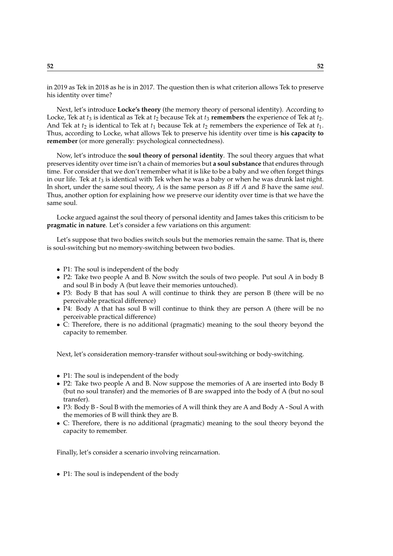in 2019 as Tek in 2018 as he is in 2017. The question then is what criterion allows Tek to preserve his identity over time?

Next, let's introduce **Locke's theory** (the memory theory of personal identity). According to Locke, Tek at  $t_3$  is identical as Tek at  $t_2$  because Tek at  $t_3$  **remembers** the experience of Tek at  $t_2$ . And Tek at  $t_2$  is identical to Tek at  $t_1$  because Tek at  $t_2$  remembers the experience of Tek at  $t_1$ . Thus, according to Locke, what allows Tek to preserve his identity over time is **his capacity to remember** (or more generally: psychological connectedness).

Now, let's introduce the **soul theory of personal identity**. The soul theory argues that what preserves identity over time isn't a chain of memories but **a soul substance** that endures through time. For consider that we don't remember what it is like to be a baby and we often forget things in our life. Tek at  $t_3$  is identical with Tek when he was a baby or when he was drunk last night. In short, under the same soul theory, *A* is the same person as *B* iff *A* and *B* have the same *soul*. Thus, another option for explaining how we preserve our identity over time is that we have the same soul.

Locke argued against the soul theory of personal identity and James takes this criticism to be **pragmatic in nature**. Let's consider a few variations on this argument:

Let's suppose that two bodies switch souls but the memories remain the same. That is, there is soul-switching but no memory-switching between two bodies.

- P1: The soul is independent of the body
- P2: Take two people A and B. Now switch the souls of two people. Put soul A in body B and soul B in body A (but leave their memories untouched).
- P3: Body B that has soul A will continue to think they are person B (there will be no perceivable practical difference)
- P4: Body A that has soul B will continue to think they are person A (there will be no perceivable practical difference)
- C: Therefore, there is no additional (pragmatic) meaning to the soul theory beyond the capacity to remember.

Next, let's consideration memory-transfer without soul-switching or body-switching.

- P1: The soul is independent of the body
- P2: Take two people A and B. Now suppose the memories of A are inserted into Body B (but no soul transfer) and the memories of B are swapped into the body of A (but no soul transfer).
- P3: Body B Soul B with the memories of A will think they are A and Body A Soul A with the memories of B will think they are B.
- C: Therefore, there is no additional (pragmatic) meaning to the soul theory beyond the capacity to remember.

Finally, let's consider a scenario involving reincarnation.

• P1: The soul is independent of the body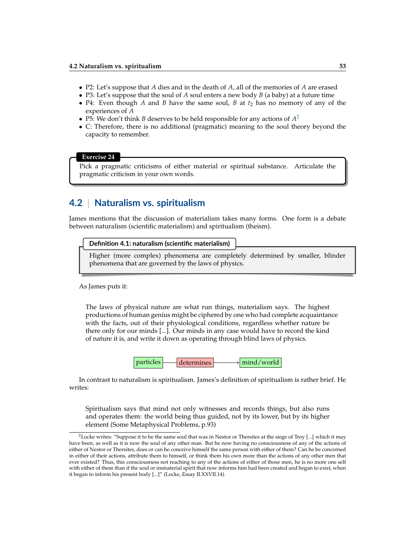- P2: Let's suppose that *A* dies and in the death of *A*, all of the memories of *A* are erased
- P3: Let's suppose that the soul of *A* soul enters a new body *B* (a baby) at a future time
- P4: Even though *A* and *B* have the same soul, *B* at *t*<sup>2</sup> has no memory of any of the experiences of *A*
- P5: We don't think *B* deserves to be held responsible for any actions of  $A^2$  $A^2$
- C: Therefore, there is no additional (pragmatic) meaning to the soul theory beyond the capacity to remember.

#### **Exercise 24**

Pick a pragmatic criticisms of either material or spiritual substance. Articulate the pragmatic criticism in your own words.

## **4.2** | **Naturalism vs. spiritualism**

James mentions that the discussion of materialism takes many forms. One form is a debate between naturalism (scientific materialism) and spiritualism (theism).

#### **Definition 4.1: naturalism (scientific materialism)**

Higher (more complex) phenomena are completely determined by smaller, blinder phenomena that are governed by the laws of physics.

As James puts it:

The laws of physical nature are what run things, materialism says. The highest productions of human genius might be ciphered by one who had complete acquaintance with the facts, out of their physiological conditions, regardless whether nature be there only for our minds [...]. Our minds in any case would have to record the kind of nature it is, and write it down as operating through blind laws of physics.



In contrast to naturalism is spiritualism. James's definition of spiritualism is rather brief. He writes:

Spiritualism says that mind not only witnesses and records things, but also runs and operates them: the world being thus guided, not by its lower, but by its higher element (Some Metaphysical Problems, p.93)

<span id="page-52-0"></span><sup>&</sup>lt;sup>2</sup> Locke writes: "Suppose it to be the same soul that was in Nestor or Thersites at the siege of Troy [...] which it may have been, as well as it is now the soul of any other man. But he now having no consciousness of any of the actions of either of Nestor or Thersites, does or can he conceive himself the same person with either of them? Can he be concerned in either of their actions, attribute them to himself, or think them his own more than the actions of any other men that ever existed? Thus, this consciousness not reaching to any of the actions of either of those men, he is no more one self with either of them than if the soul or immaterial spirit that now informs him had been created and began to exist, when it began to inform his present body [...]" (Locke, Essay II.XXVII.14).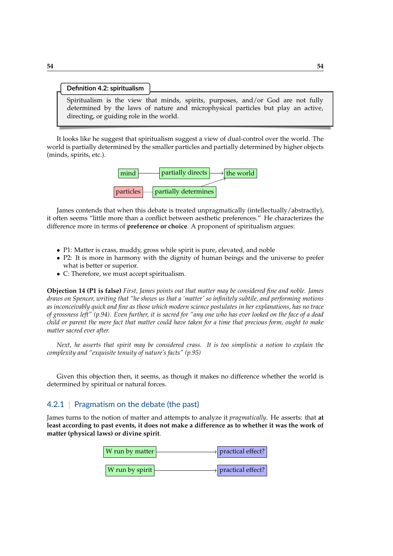#### **Definition 4.2: spiritualism**

Spiritualism is the view that minds, spirits, purposes, and/or God are not fully determined by the laws of nature and microphysical particles but play an active, directing, or guiding role in the world.

It looks like he suggest that spiritualism suggest a view of dual-control over the world. The world is partially determined by the smaller particles and partially determined by higher objects (minds, spirits, etc.).



James contends that when this debate is treated unpragmatically (intellectually/abstractly), it often seems "little more than a conflict between aesthetic preferences." He characterizes the difference more in terms of **preference or choice**. A proponent of spiritualism argues:

- P1: Matter is crass, muddy, gross while spirit is pure, elevated, and noble
- P2: It is more in harmony with the dignity of human beings and the universe to prefer what is better or superior.
- C: Therefore, we must accept spiritualism.

**Objection 14 (P1 is false)** *First, James points out that matter may be considered fine and noble. James draws on Spencer, writing that "he shows us that a 'matter' so infinitely subtile, and performing motions as inconceivably quick and fine as those which modern science postulates in her explanations, has no trace of grossness left" (p.94). Even further, it is sacred for "any one who has ever looked on the face of a dead child or parent the mere fact that matter could have taken for a time that precious form, ought to make matter sacred ever after.*

*Next, he asserts that spirit may be considered crass. It is too simplistic a notion to explain the complexity and "exquisite tenuity of nature's facts" (p.95)*

Given this objection then, it seems, as though it makes no difference whether the world is determined by spiritual or natural forces.

## 4.2.1 | Pragmatism on the debate (the past)

James turns to the notion of matter and attempts to analyze it *pragmatically*. He asserts: that **at least according to past events, it does not make a difference as to whether it was the work of matter (physical laws) or divine spirit**.

| W run by matter | $\rightarrow$ practical effect? |
|-----------------|---------------------------------|
| W run by spirit | > practical effect?             |
|                 |                                 |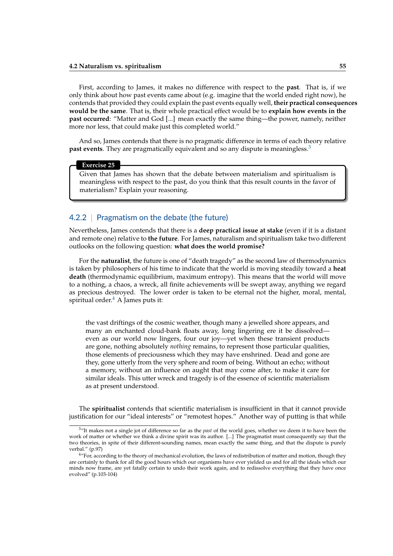First, according to James, it makes no difference with respect to the **past**. That is, if we only think about how past events came about (e.g. imagine that the world ended right now), he contends that provided they could explain the past events equally well, **their practical consequences would be the same**. That is, their whole practical effect would be to **explain how events in the past occurred**: "Matter and God [...] mean exactly the same thing—the power, namely, neither more nor less, that could make just this completed world."

And so, James contends that there is no pragmatic difference in terms of each theory relative **past events**. They are pragmatically equivalent and so any dispute is meaningless.<sup>[3](#page-54-0)</sup>

#### **Exercise 25**

Given that James has shown that the debate between materialism and spiritualism is meaningless with respect to the past, do you think that this result counts in the favor of materialism? Explain your reasoning.

## 4.2.2 | Pragmatism on the debate (the future)

Nevertheless, James contends that there is a **deep practical issue at stake** (even if it is a distant and remote one) relative to **the future**. For James, naturalism and spiritualism take two different outlooks on the following question: **what does the world promise?**

For the **naturalist**, the future is one of "death tragedy" as the second law of thermodynamics is taken by philosophers of his time to indicate that the world is moving steadily toward a **heat death** (thermodynamic equilibrium, maximum entropy). This means that the world will move to a nothing, a chaos, a wreck, all finite achievements will be swept away, anything we regard as precious destroyed. The lower order is taken to be eternal not the higher, moral, mental, spiritual order. $<sup>4</sup>$  $<sup>4</sup>$  $<sup>4</sup>$  A James puts it:</sup>

the vast driftings of the cosmic weather, though many a jewelled shore appears, and many an enchanted cloud-bank floats away, long lingering ere it be dissolved even as our world now lingers, four our joy—yet when these transient products are gone, nothing absolutely *nothing* remains, to represent those particular qualities, those elements of preciousness which they may have enshrined. Dead and gone are they, gone utterly from the very sphere and room of being. Without an echo; without a memory, without an influence on aught that may come after, to make it care for similar ideals. This utter wreck and tragedy is of the essence of scientific materialism as at present understood.

The **spiritualist** contends that scientific materialism is insufficient in that it cannot provide justification for our "ideal interests" or "remotest hopes." Another way of putting is that while

<span id="page-54-0"></span><sup>3</sup>"It makes not a single jot of difference so far as the *past* of the world goes, whether we deem it to have been the work of matter or whether we think a divine spirit was its author. [...] The pragmatist must consequently say that the two theories, in spite of their different-sounding names, mean exactly the same thing, and that the dispute is purely verbal." (p.97)

<span id="page-54-1"></span><sup>&</sup>lt;sup>4"</sup>For, according to the theory of mechanical evolution, the laws of redistribution of matter and motion, though they are certainly to thank for all the good hours which our organisms have ever yielded us and for all the ideals which our minds now frame, are yet fatally certain to undo their work again, and to redissolve everything that they have once evolved" (p.103-104)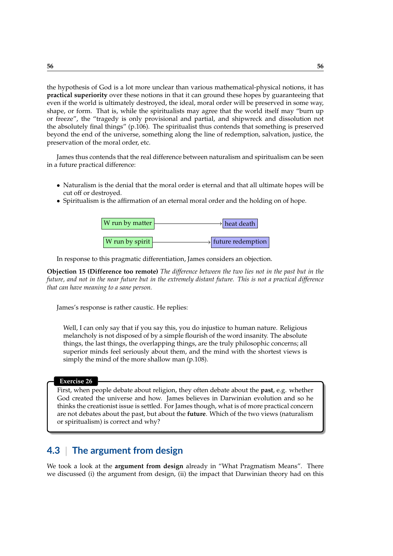the hypothesis of God is a lot more unclear than various mathematical-physical notions, it has **practical superiority** over these notions in that it can ground these hopes by guaranteeing that even if the world is ultimately destroyed, the ideal, moral order will be preserved in some way, shape, or form. That is, while the spiritualists may agree that the world itself may "burn up or freeze", the "tragedy is only provisional and partial, and shipwreck and dissolution not the absolutely final things" (p.106). The spiritualist thus contends that something is preserved beyond the end of the universe, something along the line of redemption, salvation, justice, the preservation of the moral order, etc.

James thus contends that the real difference between naturalism and spiritualism can be seen in a future practical difference:

- Naturalism is the denial that the moral order is eternal and that all ultimate hopes will be cut off or destroyed.
- Spiritualism is the affirmation of an eternal moral order and the holding on of hope.



In response to this pragmatic differentiation, James considers an objection.

**Objection 15 (Difference too remote)** *The difference between the two lies not in the past but in the future, and not in the near future but in the extremely distant future. This is not a practical difference that can have meaning to a sane person.*

James's response is rather caustic. He replies:

Well, I can only say that if you say this, you do injustice to human nature. Religious melancholy is not disposed of by a simple flourish of the word insanity. The absolute things, the last things, the overlapping things, are the truly philosophic concerns; all superior minds feel seriously about them, and the mind with the shortest views is simply the mind of the more shallow man (p.108).

#### **Exercise 26**

First, when people debate about religion, they often debate about the **past**, e.g. whether God created the universe and how. James believes in Darwinian evolution and so he thinks the creationist issue is settled. For James though, what is of more practical concern are not debates about the past, but about the **future**. Which of the two views (naturalism or spiritualism) is correct and why?

# **4.3** | **The argument from design**

We took a look at the **argument from design** already in "What Pragmatism Means". There we discussed (i) the argument from design, (ii) the impact that Darwinian theory had on this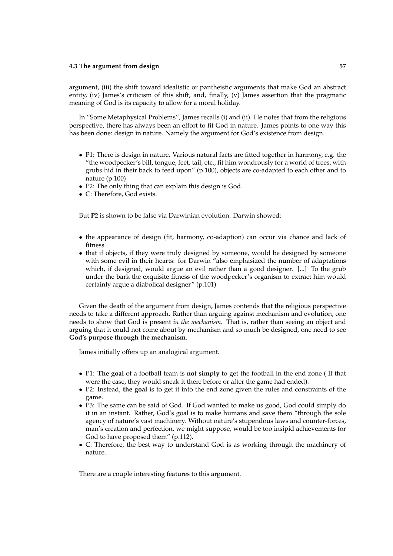argument, (iii) the shift toward idealistic or pantheistic arguments that make God an abstract entity, (iv) James's criticism of this shift, and, finally, (v) James assertion that the pragmatic meaning of God is its capacity to allow for a moral holiday.

In "Some Metaphysical Problems", James recalls (i) and (ii). He notes that from the religious perspective, there has always been an effort to fit God in nature. James points to one way this has been done: design in nature. Namely the argument for God's existence from design.

- P1: There is design in nature. Various natural facts are fitted together in harmony, e.g. the "the woodpecker's bill, tongue, feet, tail, etc., fit him wondrously for a world of trees, with grubs hid in their back to feed upon" (p.100), objects are co-adapted to each other and to nature (p.100)
- P2: The only thing that can explain this design is God.
- C: Therefore, God exists.

But **P2** is shown to be false via Darwinian evolution. Darwin showed:

- the appearance of design (fit, harmony, co-adaption) can occur via chance and lack of fitness
- that if objects, if they were truly designed by someone, would be designed by someone with some evil in their hearts: for Darwin "also emphasized the number of adaptations which, if designed, would argue an evil rather than a good designer. [...] To the grub under the bark the exquisite fitness of the woodpecker's organism to extract him would certainly argue a diabolical designer" (p.101)

Given the death of the argument from design, James contends that the religious perspective needs to take a different approach. Rather than arguing against mechanism and evolution, one needs to show that God is present *in the mechanism*. That is, rather than seeing an object and arguing that it could not come about by mechanism and so much be designed, one need to see **God's purpose through the mechanism**.

James initially offers up an analogical argument.

- P1: **The goal** of a football team is **not simply** to get the football in the end zone ( If that were the case, they would sneak it there before or after the game had ended).
- P2: Instead, **the goal** is to get it into the end zone given the rules and constraints of the game.
- P3: The same can be said of God. If God wanted to make us good, God could simply do it in an instant. Rather, God's goal is to make humans and save them "through the sole agency of nature's vast machinery. Without nature's stupendous laws and counter-forces, man's creation and perfection, we might suppose, would be too insipid achievements for God to have proposed them" (p.112).
- C: Therefore, the best way to understand God is as working through the machinery of nature.

There are a couple interesting features to this argument.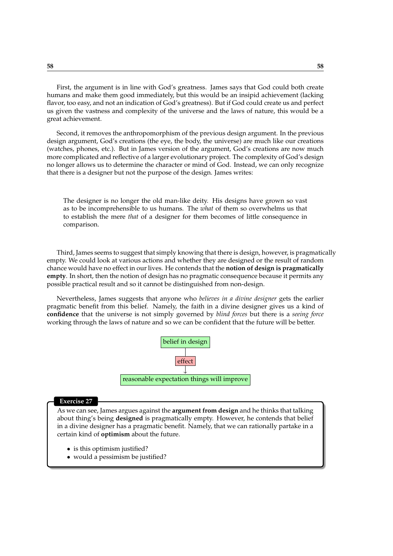First, the argument is in line with God's greatness. James says that God could both create humans and make them good immediately, but this would be an insipid achievement (lacking flavor, too easy, and not an indication of God's greatness). But if God could create us and perfect us given the vastness and complexity of the universe and the laws of nature, this would be a great achievement.

Second, it removes the anthropomorphism of the previous design argument. In the previous design argument, God's creations (the eye, the body, the universe) are much like our creations (watches, phones, etc.). But in James version of the argument, God's creations are now much more complicated and reflective of a larger evolutionary project. The complexity of God's design no longer allows us to determine the character or mind of God. Instead, we can only recognize that there is a designer but not the purpose of the design. James writes:

The designer is no longer the old man-like deity. His designs have grown so vast as to be incomprehensible to us humans. The *what* of them so overwhelms us that to establish the mere *that* of a designer for them becomes of little consequence in comparison.

Third, James seems to suggest that simply knowing that there is design, however, is pragmatically empty. We could look at various actions and whether they are designed or the result of random chance would have no effect in our lives. He contends that the **notion of design is pragmatically empty**. In short, then the notion of design has no pragmatic consequence because it permits any possible practical result and so it cannot be distinguished from non-design.

Nevertheless, James suggests that anyone who *believes in a divine designer* gets the earlier pragmatic benefit from this belief. Namely, the faith in a divine designer gives us a kind of **confidence** that the universe is not simply governed by *blind forces* but there is a *seeing force* working through the laws of nature and so we can be confident that the future will be better.



#### **Exercise 27**

As we can see, James argues against the **argument from design** and he thinks that talking about thing's being **designed** is pragmatically empty. However, he contends that belief in a divine designer has a pragmatic benefit. Namely, that we can rationally partake in a certain kind of **optimism** about the future.

- is this optimism justified?
- would a pessimism be justified?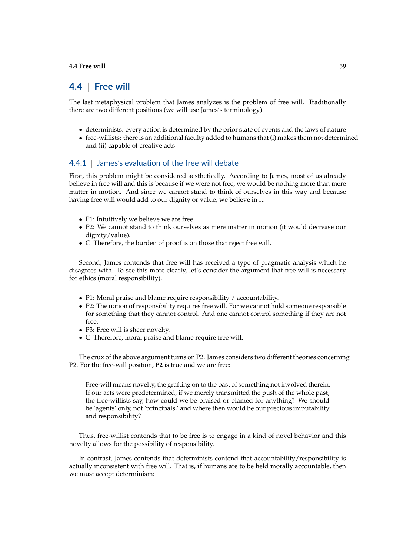## **4.4** | **Free will**

The last metaphysical problem that James analyzes is the problem of free will. Traditionally there are two different positions (we will use James's terminology)

- determinists: every action is determined by the prior state of events and the laws of nature
- free-willists: there is an additional faculty added to humans that (i) makes them not determined and (ii) capable of creative acts

## 4.4.1 | James's evaluation of the free will debate

First, this problem might be considered aesthetically. According to James, most of us already believe in free will and this is because if we were not free, we would be nothing more than mere matter in motion. And since we cannot stand to think of ourselves in this way and because having free will would add to our dignity or value, we believe in it.

- P1: Intuitively we believe we are free.
- P2: We cannot stand to think ourselves as mere matter in motion (it would decrease our dignity/value).
- C: Therefore, the burden of proof is on those that reject free will.

Second, James contends that free will has received a type of pragmatic analysis which he disagrees with. To see this more clearly, let's consider the argument that free will is necessary for ethics (moral responsibility).

- P1: Moral praise and blame require responsibility / accountability.
- P2: The notion of responsibility requires free will. For we cannot hold someone responsible for something that they cannot control. And one cannot control something if they are not free.
- P3: Free will is sheer novelty.
- C: Therefore, moral praise and blame require free will.

The crux of the above argument turns on P2. James considers two different theories concerning P2. For the free-will position, **P2** is true and we are free:

Free-will means novelty, the grafting on to the past of something not involved therein. If our acts were predetermined, if we merely transmitted the push of the whole past, the free-willists say, how could we be praised or blamed for anything? We should be 'agents' only, not 'principals,' and where then would be our precious imputability and responsibility?

Thus, free-willist contends that to be free is to engage in a kind of novel behavior and this novelty allows for the possibility of responsibility.

In contrast, James contends that determinists contend that accountability/responsibility is actually inconsistent with free will. That is, if humans are to be held morally accountable, then we must accept determinism: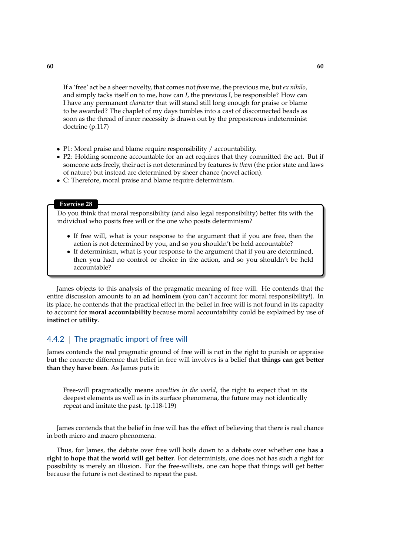If a 'free' act be a sheer novelty, that comes not *from* me, the previous me, but *ex nihilo*, and simply tacks itself on to me, how can *I*, the previous I, be responsible? How can I have any permanent *character* that will stand still long enough for praise or blame to be awarded? The chaplet of my days tumbles into a cast of disconnected beads as soon as the thread of inner necessity is drawn out by the preposterous indeterminist doctrine (p.117)

- P1: Moral praise and blame require responsibility / accountability.
- P2: Holding someone accountable for an act requires that they committed the act. But if someone acts freely, their act is not determined by features *in them* (the prior state and laws of nature) but instead are determined by sheer chance (novel action).
- C: Therefore, moral praise and blame require determinism.

## **Exercise 28**

Do you think that moral responsibility (and also legal responsibility) better fits with the individual who posits free will or the one who posits determinism?

- If free will, what is your response to the argument that if you are free, then the action is not determined by you, and so you shouldn't be held accountable?
- If determinism, what is your response to the argument that if you are determined, then you had no control or choice in the action, and so you shouldn't be held accountable?

James objects to this analysis of the pragmatic meaning of free will. He contends that the entire discussion amounts to an **ad hominem** (you can't account for moral responsibility!). In its place, he contends that the practical effect in the belief in free will is not found in its capacity to account for **moral accountability** because moral accountability could be explained by use of **instinct** or **utility**.

## 4.4.2 | The pragmatic import of free will

James contends the real pragmatic ground of free will is not in the right to punish or appraise but the concrete difference that belief in free will involves is a belief that **things can get better than they have been**. As James puts it:

Free-will pragmatically means *novelties in the world*, the right to expect that in its deepest elements as well as in its surface phenomena, the future may not identically repeat and imitate the past. (p.118-119)

James contends that the belief in free will has the effect of believing that there is real chance in both micro and macro phenomena.

Thus, for James, the debate over free will boils down to a debate over whether one **has a right to hope that the world will get better**. For determinists, one does not has such a right for possibility is merely an illusion. For the free-willists, one can hope that things will get better because the future is not destined to repeat the past.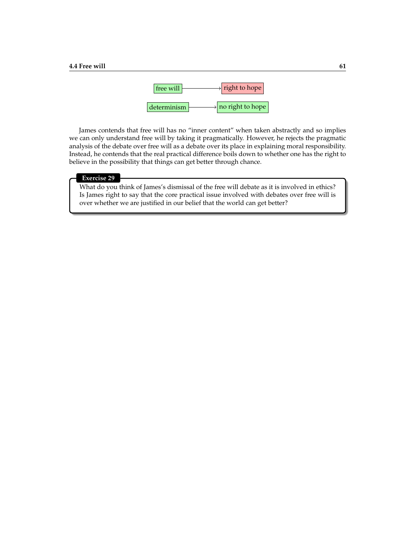

James contends that free will has no "inner content" when taken abstractly and so implies we can only understand free will by taking it pragmatically. However, he rejects the pragmatic analysis of the debate over free will as a debate over its place in explaining moral responsibility. Instead, he contends that the real practical difference boils down to whether one has the right to believe in the possibility that things can get better through chance.

## **Exercise 29**

What do you think of James's dismissal of the free will debate as it is involved in ethics? Is James right to say that the core practical issue involved with debates over free will is over whether we are justified in our belief that the world can get better?